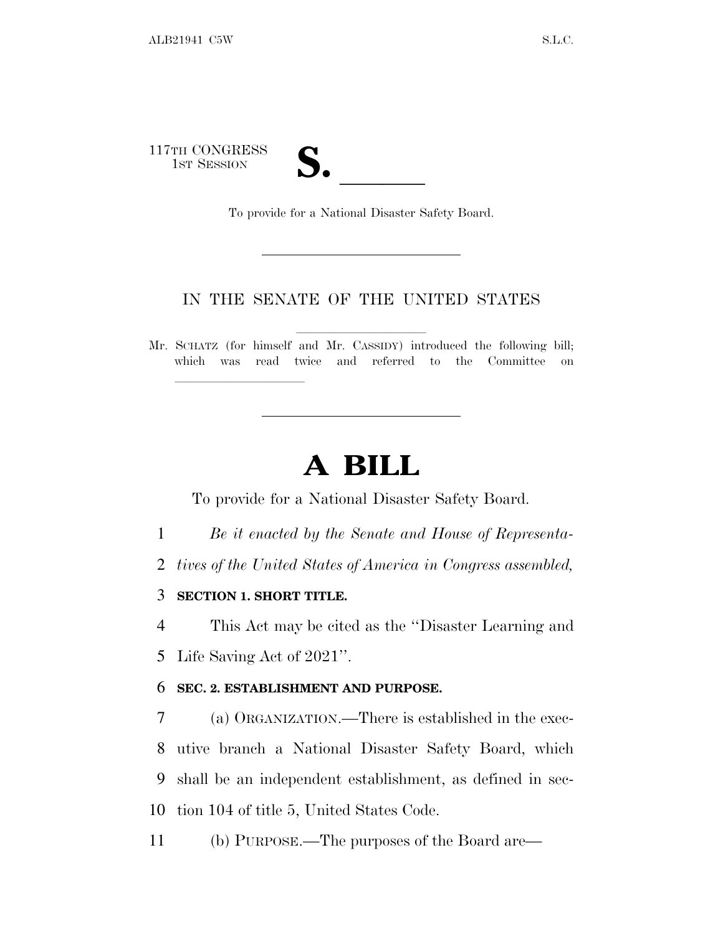117TH CONGRESS TH CONGRESS<br>
1ST SESSION<br>
To provide for a National Disaster Safety Board.

#### IN THE SENATE OF THE UNITED STATES

Mr. SCHATZ (for himself and Mr. CASSIDY) introduced the following bill; which was read twice and referred to the Committee on

# **A BILL**

To provide for a National Disaster Safety Board.

- 1 *Be it enacted by the Senate and House of Representa-*
- 2 *tives of the United States of America in Congress assembled,*
- 3 **SECTION 1. SHORT TITLE.**

lland and a state of the state of the state of the state of the state of the state of the state of the state o

4 This Act may be cited as the ''Disaster Learning and 5 Life Saving Act of 2021''.

#### 6 **SEC. 2. ESTABLISHMENT AND PURPOSE.**

 (a) ORGANIZATION.—There is established in the exec- utive branch a National Disaster Safety Board, which shall be an independent establishment, as defined in sec-tion 104 of title 5, United States Code.

11 (b) PURPOSE.—The purposes of the Board are—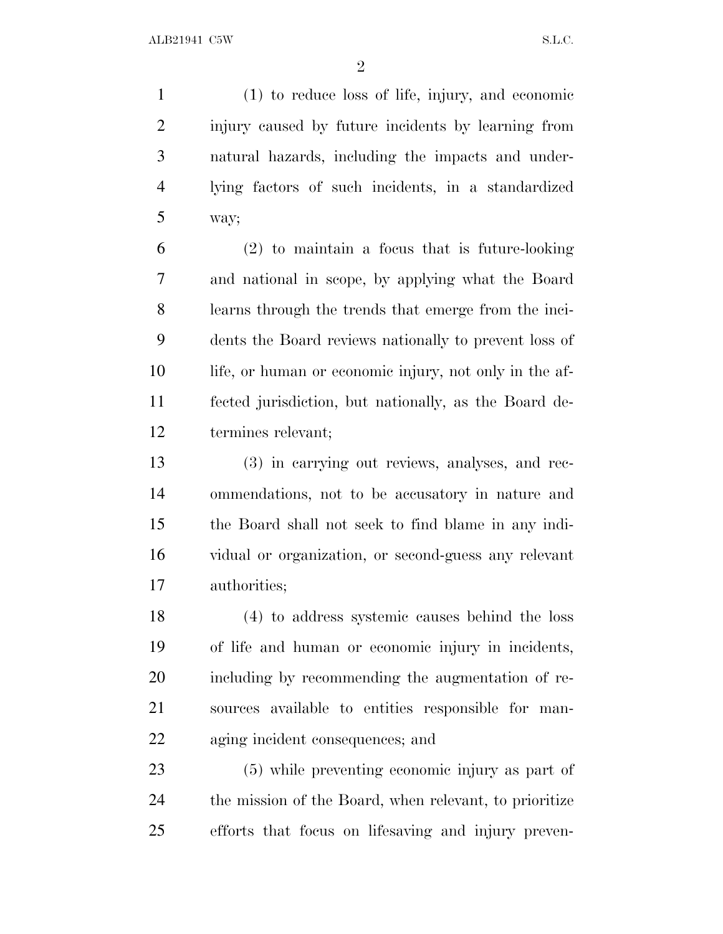(1) to reduce loss of life, injury, and economic injury caused by future incidents by learning from natural hazards, including the impacts and under- lying factors of such incidents, in a standardized way;

 (2) to maintain a focus that is future-looking and national in scope, by applying what the Board learns through the trends that emerge from the inci- dents the Board reviews nationally to prevent loss of life, or human or economic injury, not only in the af- fected jurisdiction, but nationally, as the Board de-termines relevant;

 (3) in carrying out reviews, analyses, and rec- ommendations, not to be accusatory in nature and the Board shall not seek to find blame in any indi- vidual or organization, or second-guess any relevant authorities;

 (4) to address systemic causes behind the loss of life and human or economic injury in incidents, including by recommending the augmentation of re- sources available to entities responsible for man-aging incident consequences; and

 (5) while preventing economic injury as part of the mission of the Board, when relevant, to prioritize efforts that focus on lifesaving and injury preven-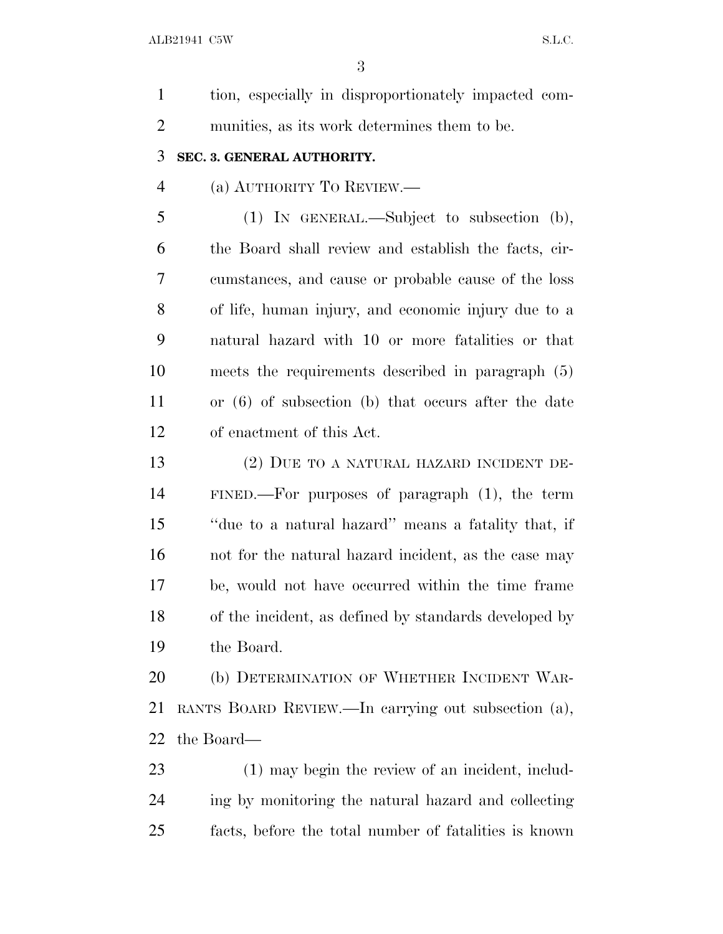tion, especially in disproportionately impacted com- munities, as its work determines them to be. **SEC. 3. GENERAL AUTHORITY.** (a) AUTHORITY T<sup>O</sup> REVIEW.— (1) IN GENERAL.—Subject to subsection (b), the Board shall review and establish the facts, cir- cumstances, and cause or probable cause of the loss of life, human injury, and economic injury due to a natural hazard with 10 or more fatalities or that meets the requirements described in paragraph (5) or (6) of subsection (b) that occurs after the date of enactment of this Act. (2) DUE TO A NATURAL HAZARD INCIDENT DE- FINED.—For purposes of paragraph (1), the term ''due to a natural hazard'' means a fatality that, if not for the natural hazard incident, as the case may be, would not have occurred within the time frame of the incident, as defined by standards developed by the Board. 20 (b) DETERMINATION OF WHETHER INCIDENT WAR- RANTS BOARD REVIEW.—In carrying out subsection (a), the Board— (1) may begin the review of an incident, includ- ing by monitoring the natural hazard and collecting facts, before the total number of fatalities is known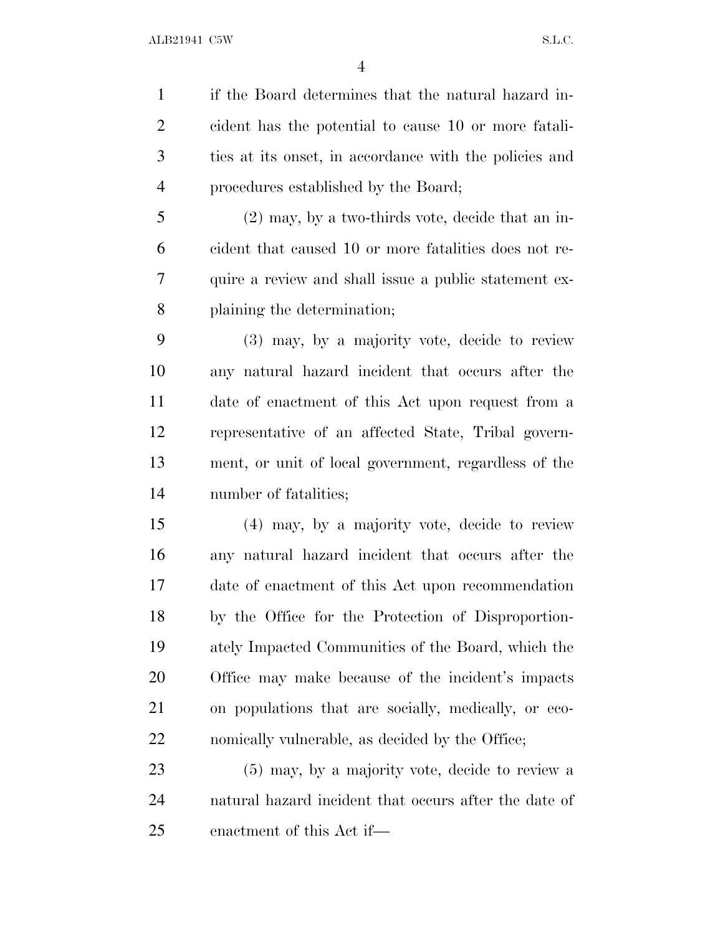if the Board determines that the natural hazard in- cident has the potential to cause 10 or more fatali- ties at its onset, in accordance with the policies and procedures established by the Board;

 (2) may, by a two-thirds vote, decide that an in- cident that caused 10 or more fatalities does not re- quire a review and shall issue a public statement ex-plaining the determination;

 (3) may, by a majority vote, decide to review any natural hazard incident that occurs after the date of enactment of this Act upon request from a representative of an affected State, Tribal govern- ment, or unit of local government, regardless of the number of fatalities;

 (4) may, by a majority vote, decide to review any natural hazard incident that occurs after the date of enactment of this Act upon recommendation by the Office for the Protection of Disproportion- ately Impacted Communities of the Board, which the Office may make because of the incident's impacts on populations that are socially, medically, or eco-22 nomically vulnerable, as decided by the Office;

 (5) may, by a majority vote, decide to review a natural hazard incident that occurs after the date of enactment of this Act if—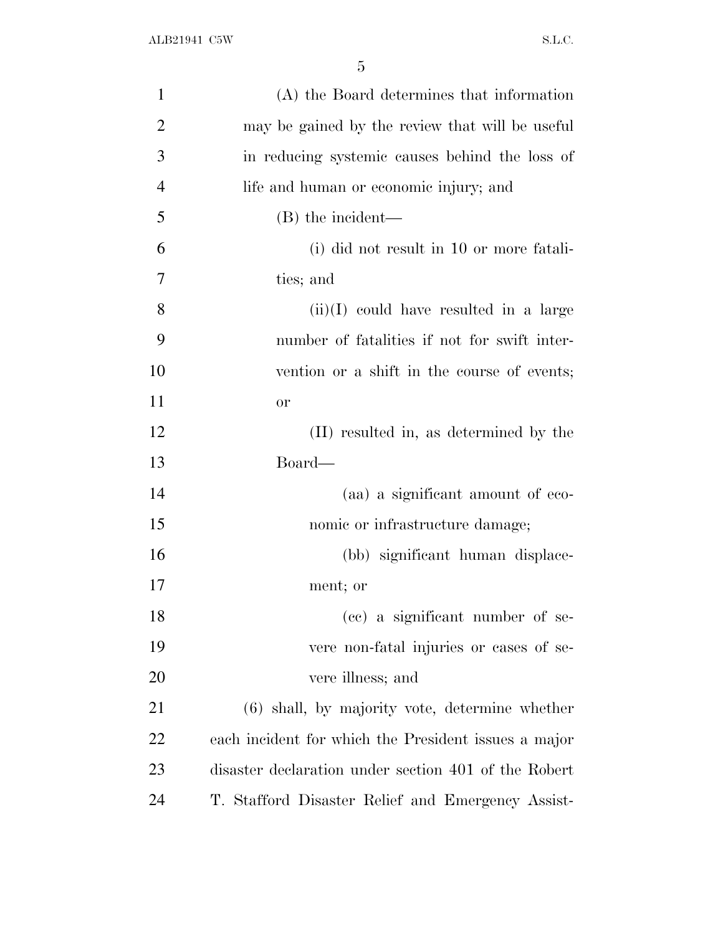| $\mathbf{1}$   | (A) the Board determines that information            |
|----------------|------------------------------------------------------|
| $\overline{2}$ | may be gained by the review that will be useful      |
| 3              | in reducing systemic causes behind the loss of       |
| $\overline{4}$ | life and human or economic injury; and               |
| 5              | (B) the incident—                                    |
| 6              | (i) did not result in 10 or more fatali-             |
| 7              | ties; and                                            |
| 8              | $(ii)(I)$ could have resulted in a large             |
| 9              | number of fatalities if not for swift inter-         |
| 10             | vention or a shift in the course of events;          |
| 11             | <b>or</b>                                            |
| 12             | (II) resulted in, as determined by the               |
| 13             | Board—                                               |
| 14             | (aa) a significant amount of eco-                    |
| 15             | nomic or infrastructure damage;                      |
| 16             | (bb) significant human displace-                     |
| 17             | ment; or                                             |
| 18             | (cc) a significant number of se-                     |
| 19             | vere non-fatal injuries or cases of se-              |
| 20             | vere illness; and                                    |
| 21             | $(6)$ shall, by majority vote, determine whether     |
| 22             | each incident for which the President issues a major |
| 23             | disaster declaration under section 401 of the Robert |
| 24             | T. Stafford Disaster Relief and Emergency Assist-    |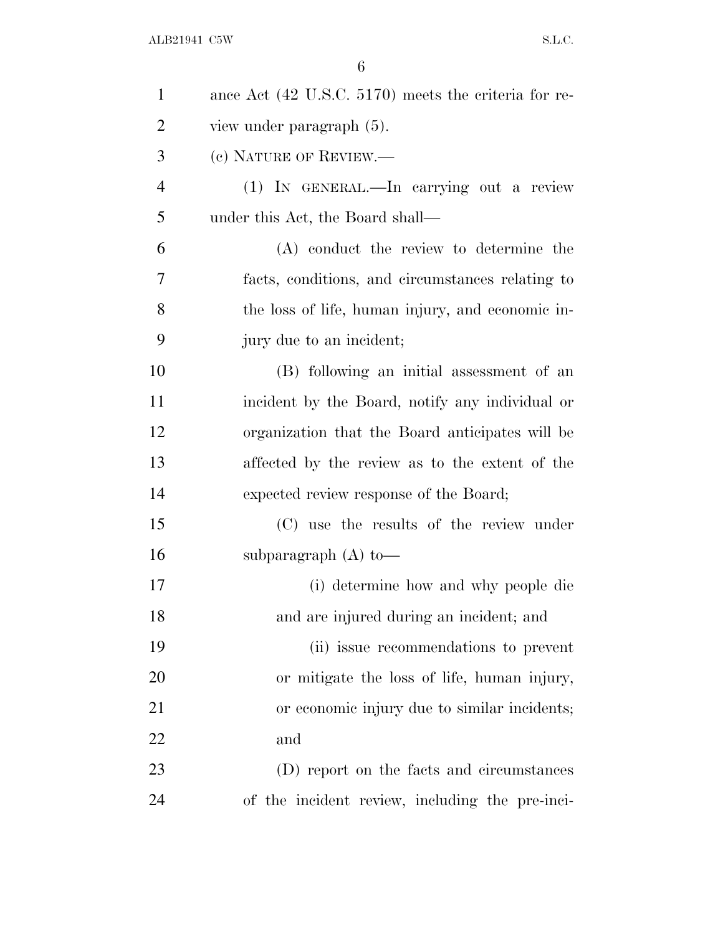| $\mathbf{1}$   | ance Act (42 U.S.C. 5170) meets the criteria for re- |
|----------------|------------------------------------------------------|
| $\overline{2}$ | view under paragraph $(5)$ .                         |
| 3              | (c) NATURE OF REVIEW.—                               |
| $\overline{4}$ | (1) IN GENERAL.—In carrying out a review             |
| 5              | under this Act, the Board shall—                     |
| 6              | (A) conduct the review to determine the              |
| 7              | facts, conditions, and circumstances relating to     |
| 8              | the loss of life, human injury, and economic in-     |
| 9              | jury due to an incident;                             |
| 10             | (B) following an initial assessment of an            |
| 11             | incident by the Board, notify any individual or      |
| 12             | organization that the Board anticipates will be      |
| 13             | affected by the review as to the extent of the       |
| 14             | expected review response of the Board;               |
| 15             | (C) use the results of the review under              |
| 16             | subparagraph $(A)$ to —                              |
| 17             | (i) determine how and why people die                 |
| 18             | and are injured during an incident; and              |
| 19             | (ii) issue recommendations to prevent                |
| 20             | or mitigate the loss of life, human injury,          |
| 21             | or economic injury due to similar incidents;         |
| 22             | and                                                  |
| 23             | (D) report on the facts and circumstances            |
| 24             | of the incident review, including the pre-inci-      |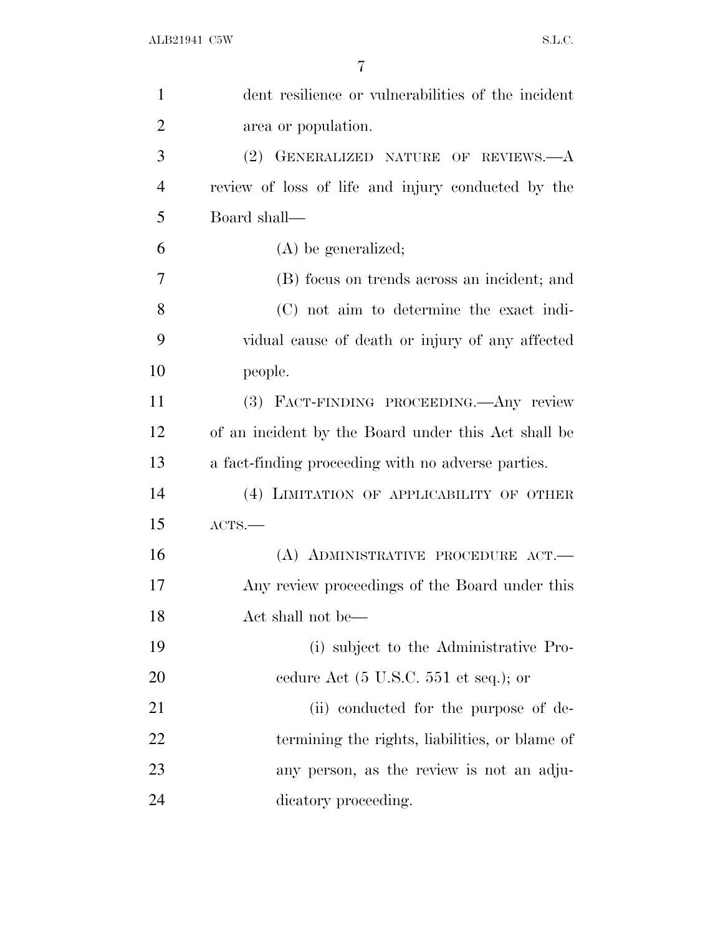| $\mathbf{1}$   | dent resilience or vulnerabilities of the incident       |
|----------------|----------------------------------------------------------|
| $\overline{2}$ | area or population.                                      |
| 3              | (2) GENERALIZED NATURE OF REVIEWS.-- A                   |
| $\overline{4}$ | review of loss of life and injury conducted by the       |
| 5              | Board shall—                                             |
| 6              | $(A)$ be generalized;                                    |
| 7              | (B) focus on trends across an incident; and              |
| 8              | (C) not aim to determine the exact indi-                 |
| 9              | vidual cause of death or injury of any affected          |
| 10             | people.                                                  |
| 11             | (3) FACT-FINDING PROCEEDING. Any review                  |
| 12             | of an incident by the Board under this Act shall be      |
| 13             | a fact-finding proceeding with no adverse parties.       |
| 14             | (4) LIMITATION OF APPLICABILITY OF OTHER                 |
| 15             | ACTS.                                                    |
| 16             | (A) ADMINISTRATIVE PROCEDURE ACT.                        |
| 17             | Any review proceedings of the Board under this           |
| 18             | Act shall not be—                                        |
| 19             | (i) subject to the Administrative Pro-                   |
| 20             | cedure Act $(5 \text{ U.S.C. } 551 \text{ et seq.});$ or |
| 21             | (ii) conducted for the purpose of de-                    |
| 22             | termining the rights, liabilities, or blame of           |
| 23             | any person, as the review is not an adju-                |
| 24             | dicatory proceeding.                                     |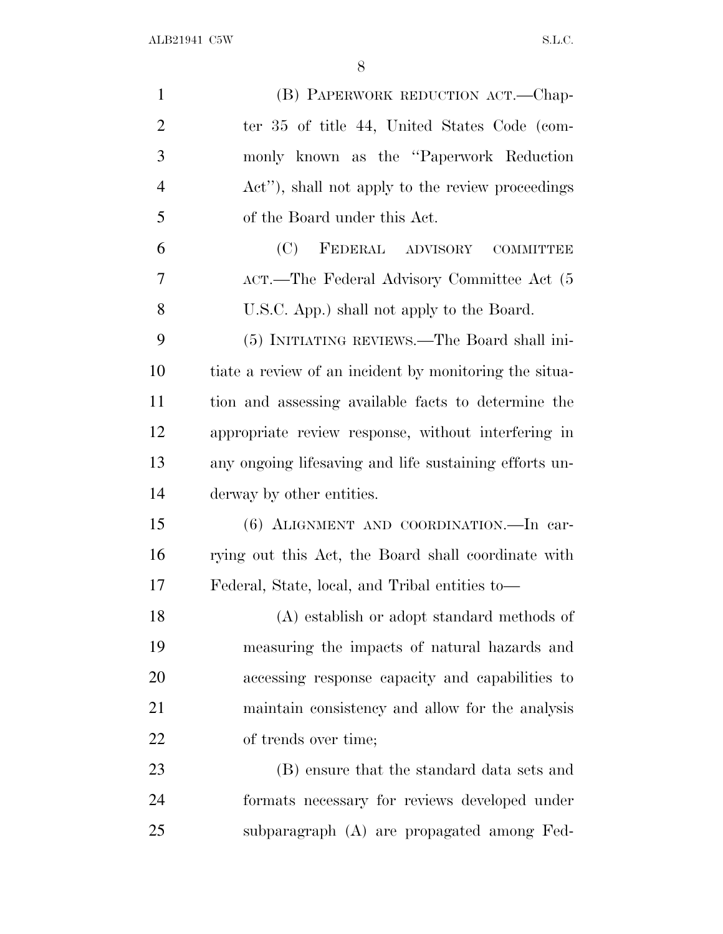| $\mathbf{1}$   | (B) PAPERWORK REDUCTION ACT.—Chap-                     |
|----------------|--------------------------------------------------------|
| $\overline{2}$ | ter 35 of title 44, United States Code (com-           |
| 3              | monly known as the "Paperwork Reduction"               |
| $\overline{4}$ | Act", shall not apply to the review proceedings        |
| 5              | of the Board under this Act.                           |
| 6              | (C)<br>FEDERAL ADVISORY COMMITTEE                      |
| 7              | ACT.—The Federal Advisory Committee Act (5             |
| 8              | U.S.C. App.) shall not apply to the Board.             |
| 9              | (5) INITIATING REVIEWS.—The Board shall ini-           |
| 10             | tiate a review of an incident by monitoring the situa- |
| 11             | tion and assessing available facts to determine the    |
| 12             | appropriate review response, without interfering in    |
| 13             | any ongoing lifesaving and life sustaining efforts un- |
| 14             | derway by other entities.                              |
| 15             | (6) ALIGNMENT AND COORDINATION.—In car-                |
| 16             | rying out this Act, the Board shall coordinate with    |
| 17             | Federal, State, local, and Tribal entities to—         |
| 18             | (A) establish or adopt standard methods of             |
| 19             | measuring the impacts of natural hazards and           |
| 20             | accessing response capacity and capabilities to        |
| 21             | maintain consistency and allow for the analysis        |
| 22             | of trends over time;                                   |
| 23             | (B) ensure that the standard data sets and             |
| 24             | formats necessary for reviews developed under          |
| 25             | subparagraph (A) are propagated among Fed-             |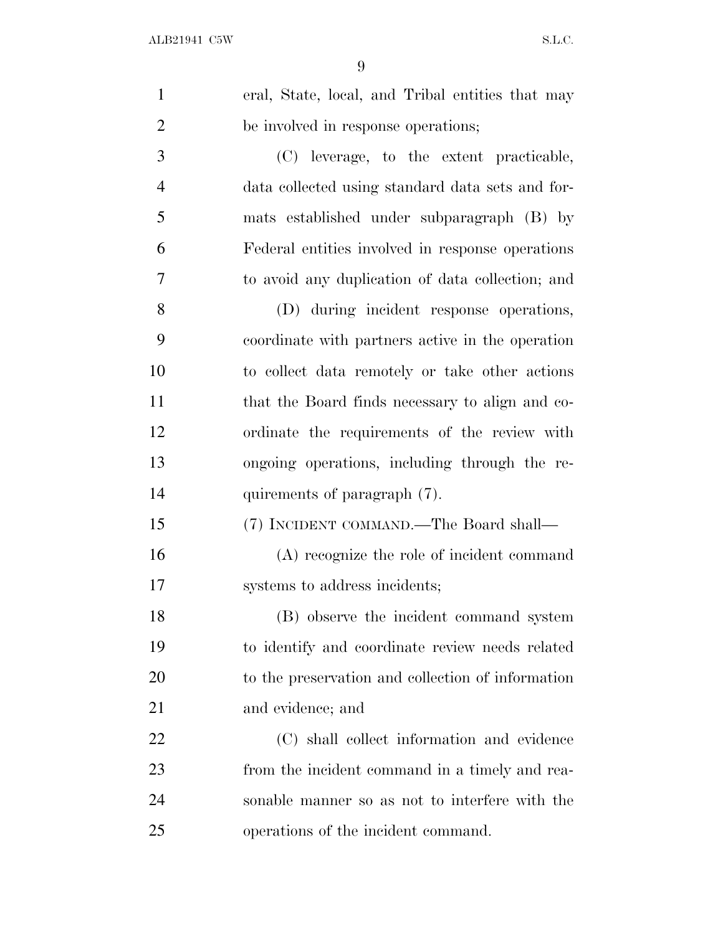| $\mathbf{1}$   | eral, State, local, and Tribal entities that may  |
|----------------|---------------------------------------------------|
| $\overline{2}$ | be involved in response operations;               |
| 3              | (C) leverage, to the extent practicable,          |
| $\overline{4}$ | data collected using standard data sets and for-  |
| 5              | mats established under subparagraph (B) by        |
| 6              | Federal entities involved in response operations  |
| 7              | to avoid any duplication of data collection; and  |
| 8              | (D) during incident response operations,          |
| 9              | coordinate with partners active in the operation  |
| 10             | to collect data remotely or take other actions    |
| 11             | that the Board finds necessary to align and co-   |
| 12             | ordinate the requirements of the review with      |
| 13             | ongoing operations, including through the re-     |
| 14             | quirements of paragraph (7).                      |
| 15             | (7) INCIDENT COMMAND.—The Board shall—            |
| 16             | (A) recognize the role of incident command        |
| 17             | systems to address incidents;                     |
| 18             | (B) observe the incident command system           |
| 19             | to identify and coordinate review needs related   |
| 20             | to the preservation and collection of information |
| 21             | and evidence; and                                 |
| 22             | (C) shall collect information and evidence        |
| 23             | from the incident command in a timely and rea-    |
| 24             | sonable manner so as not to interfere with the    |
| 25             | operations of the incident command.               |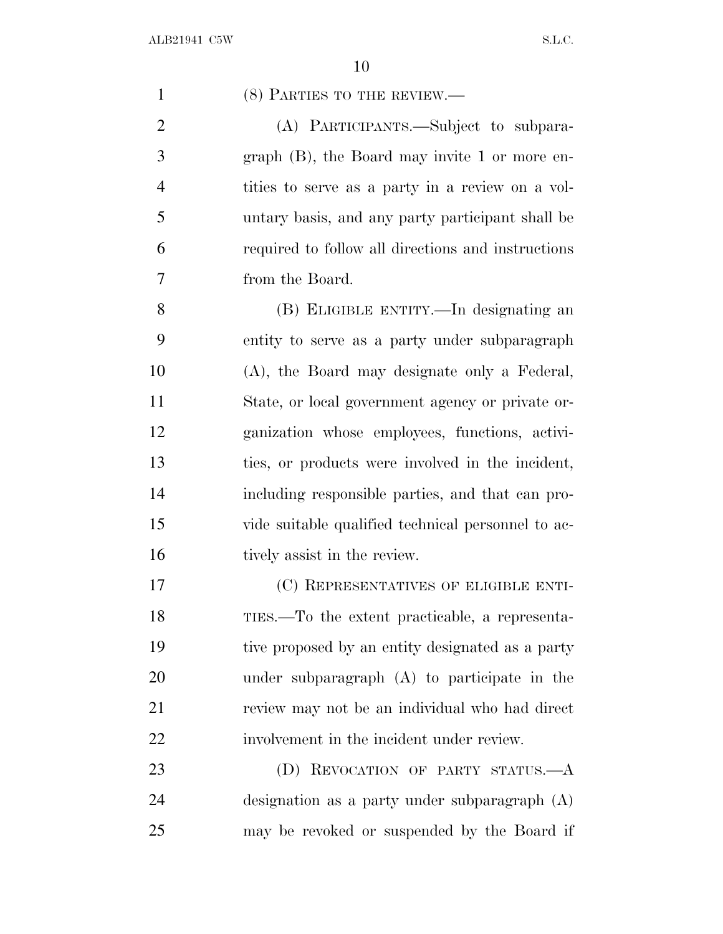1 (8) PARTIES TO THE REVIEW.—

 (A) PARTICIPANTS.—Subject to subpara- graph (B), the Board may invite 1 or more en- tities to serve as a party in a review on a vol- untary basis, and any party participant shall be required to follow all directions and instructions from the Board.

 (B) ELIGIBLE ENTITY.—In designating an entity to serve as a party under subparagraph (A), the Board may designate only a Federal, State, or local government agency or private or- ganization whose employees, functions, activi- ties, or products were involved in the incident, including responsible parties, and that can pro- vide suitable qualified technical personnel to ac-16 tively assist in the review.

 (C) REPRESENTATIVES OF ELIGIBLE ENTI- TIES.—To the extent practicable, a representa- tive proposed by an entity designated as a party under subparagraph (A) to participate in the review may not be an individual who had direct involvement in the incident under review.

23 (D) REVOCATION OF PARTY STATUS.—A designation as a party under subparagraph (A) may be revoked or suspended by the Board if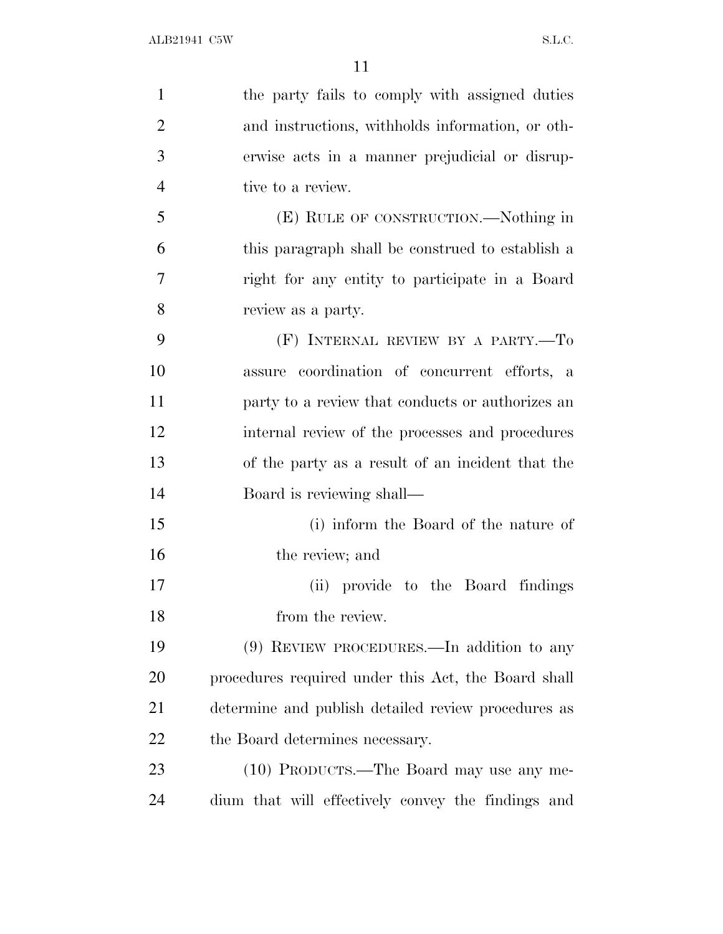| $\mathbf{1}$   | the party fails to comply with assigned duties      |
|----------------|-----------------------------------------------------|
| $\overline{2}$ | and instructions, withholds information, or oth-    |
| 3              | erwise acts in a manner prejudicial or disrup-      |
| $\overline{4}$ | tive to a review.                                   |
| 5              | (E) RULE OF CONSTRUCTION.—Nothing in                |
| 6              | this paragraph shall be construed to establish a    |
| 7              | right for any entity to participate in a Board      |
| 8              | review as a party.                                  |
| 9              | (F) INTERNAL REVIEW BY A PARTY.-To                  |
| 10             | assure coordination of concurrent efforts, a        |
| 11             | party to a review that conducts or authorizes an    |
| 12             | internal review of the processes and procedures     |
| 13             | of the party as a result of an incident that the    |
| 14             | Board is reviewing shall—                           |
| 15             | (i) inform the Board of the nature of               |
| 16             | the review; and                                     |
| 17             | (ii) provide to the Board findings                  |
| 18             | from the review.                                    |
| 19             | (9) REVIEW PROCEDURES.—In addition to any           |
| 20             | procedures required under this Act, the Board shall |
| 21             | determine and publish detailed review procedures as |
| 22             | the Board determines necessary.                     |
| 23             | (10) PRODUCTS.—The Board may use any me-            |
| 24             | dium that will effectively convey the findings and  |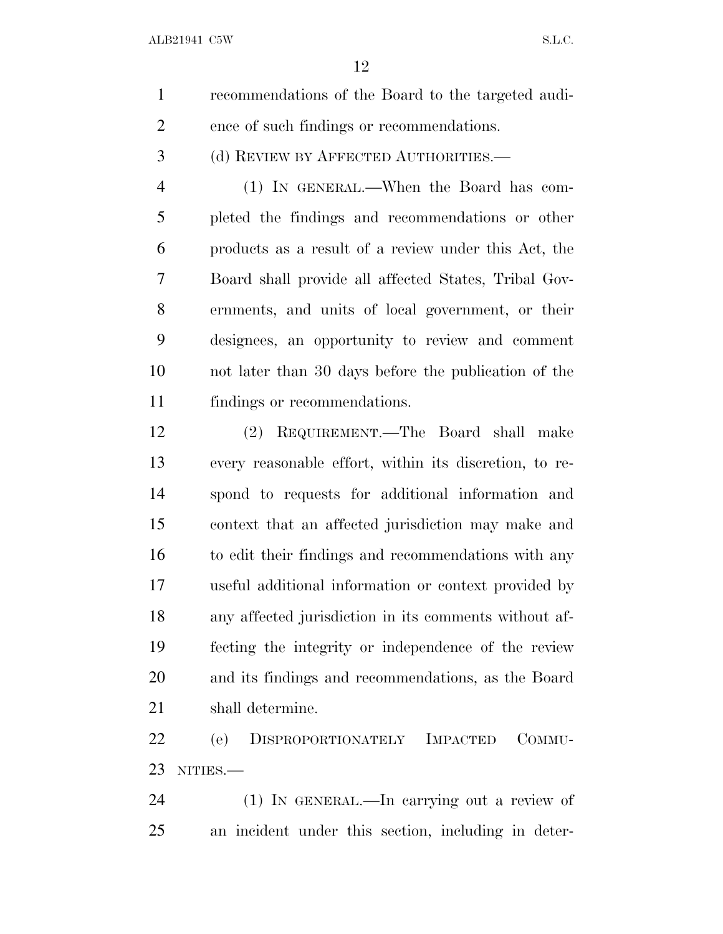| recommendations of the Board to the targeted audi- |
|----------------------------------------------------|
| ence of such findings or recommendations.          |

(d) REVIEW BY AFFECTED AUTHORITIES.—

 (1) IN GENERAL.—When the Board has com- pleted the findings and recommendations or other products as a result of a review under this Act, the Board shall provide all affected States, Tribal Gov- ernments, and units of local government, or their designees, an opportunity to review and comment not later than 30 days before the publication of the findings or recommendations.

 (2) REQUIREMENT.—The Board shall make every reasonable effort, within its discretion, to re- spond to requests for additional information and context that an affected jurisdiction may make and to edit their findings and recommendations with any useful additional information or context provided by any affected jurisdiction in its comments without af- fecting the integrity or independence of the review and its findings and recommendations, as the Board shall determine.

 (e) DISPROPORTIONATELY IMPACTED COMMU-NITIES.—

 (1) IN GENERAL.—In carrying out a review of an incident under this section, including in deter-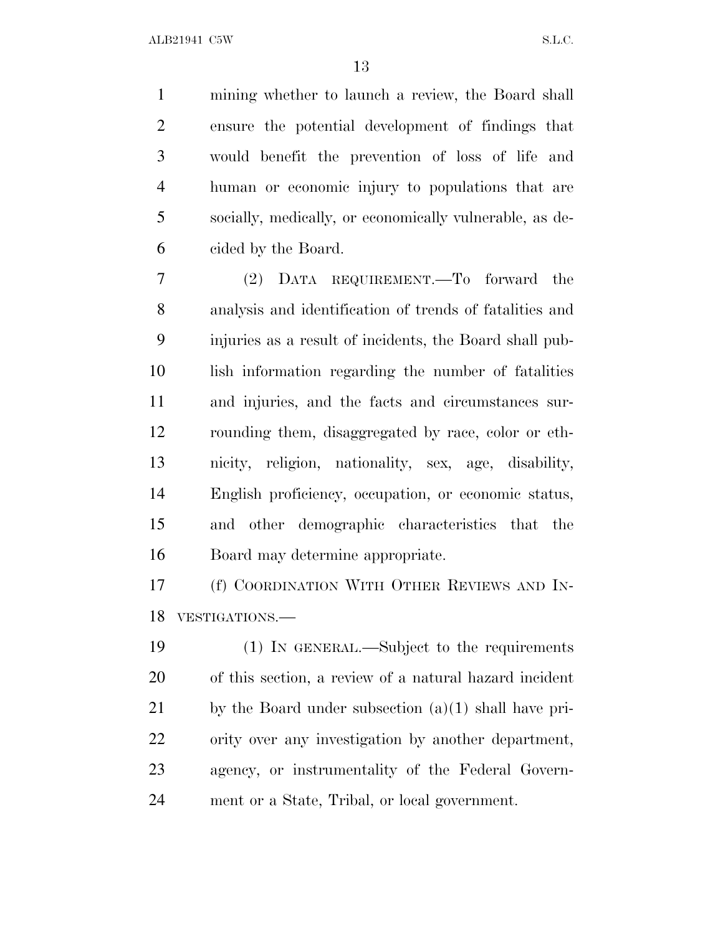mining whether to launch a review, the Board shall ensure the potential development of findings that would benefit the prevention of loss of life and human or economic injury to populations that are socially, medically, or economically vulnerable, as de-cided by the Board.

 (2) DATA REQUIREMENT.—To forward the analysis and identification of trends of fatalities and injuries as a result of incidents, the Board shall pub- lish information regarding the number of fatalities and injuries, and the facts and circumstances sur- rounding them, disaggregated by race, color or eth- nicity, religion, nationality, sex, age, disability, English proficiency, occupation, or economic status, and other demographic characteristics that the Board may determine appropriate.

 (f) COORDINATION WITH OTHER REVIEWS AND IN-VESTIGATIONS.—

 (1) IN GENERAL.—Subject to the requirements of this section, a review of a natural hazard incident 21 by the Board under subsection  $(a)(1)$  shall have pri- ority over any investigation by another department, agency, or instrumentality of the Federal Govern-ment or a State, Tribal, or local government.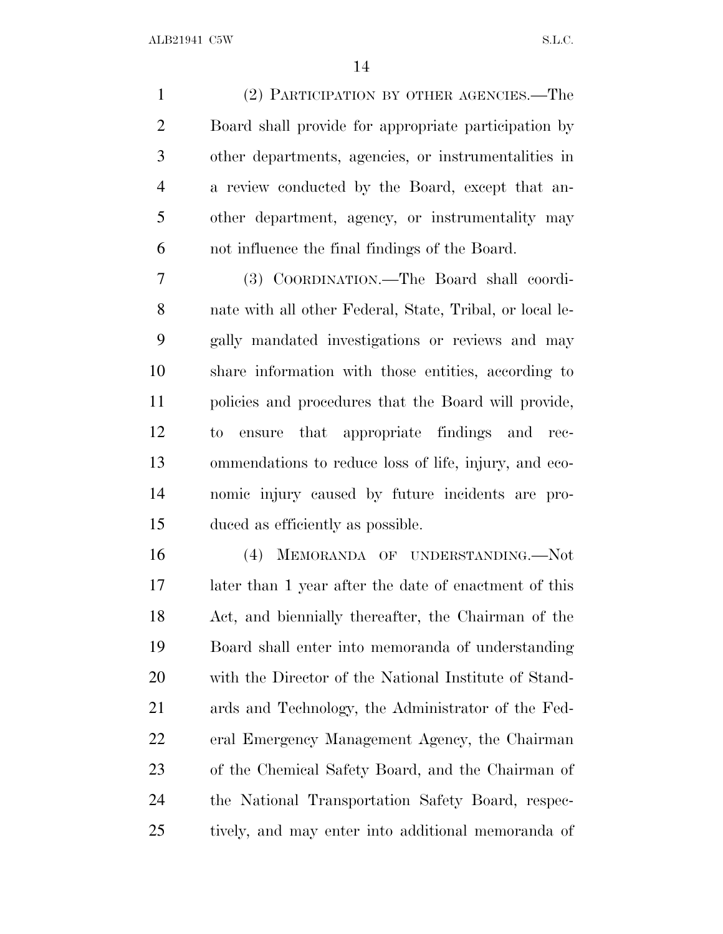(2) PARTICIPATION BY OTHER AGENCIES.—The Board shall provide for appropriate participation by other departments, agencies, or instrumentalities in a review conducted by the Board, except that an- other department, agency, or instrumentality may not influence the final findings of the Board.

 (3) COORDINATION.—The Board shall coordi- nate with all other Federal, State, Tribal, or local le- gally mandated investigations or reviews and may share information with those entities, according to policies and procedures that the Board will provide, to ensure that appropriate findings and rec- ommendations to reduce loss of life, injury, and eco- nomic injury caused by future incidents are pro-duced as efficiently as possible.

 (4) MEMORANDA OF UNDERSTANDING.—Not later than 1 year after the date of enactment of this Act, and biennially thereafter, the Chairman of the Board shall enter into memoranda of understanding with the Director of the National Institute of Stand- ards and Technology, the Administrator of the Fed- eral Emergency Management Agency, the Chairman of the Chemical Safety Board, and the Chairman of the National Transportation Safety Board, respec-tively, and may enter into additional memoranda of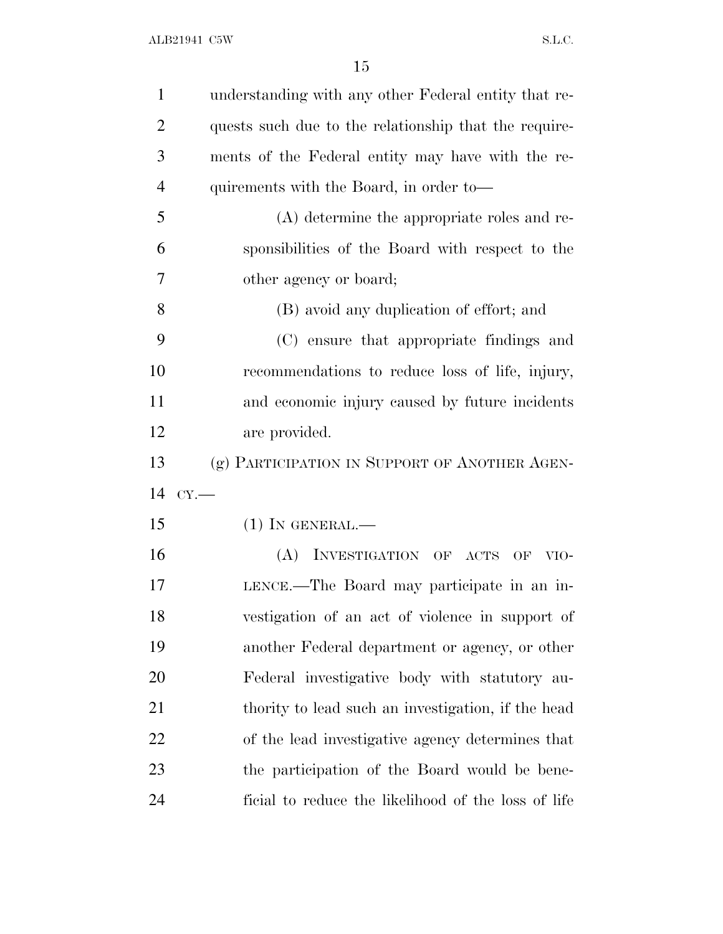| $\mathbf{1}$   | understanding with any other Federal entity that re-  |
|----------------|-------------------------------------------------------|
| $\overline{2}$ | quests such due to the relationship that the require- |
| 3              | ments of the Federal entity may have with the re-     |
| $\overline{4}$ | quirements with the Board, in order to—               |
| 5              | $(A)$ determine the appropriate roles and re-         |
| 6              | sponsibilities of the Board with respect to the       |
| 7              | other agency or board;                                |
| 8              | (B) avoid any duplication of effort; and              |
| 9              | (C) ensure that appropriate findings and              |
| 10             | recommendations to reduce loss of life, injury,       |
| 11             | and economic injury caused by future incidents        |
| 12             | are provided.                                         |
| 13             | (g) PARTICIPATION IN SUPPORT OF ANOTHER AGEN-         |
| 14             | CY.                                                   |
| 15             | $(1)$ In GENERAL.—                                    |
| 16             | (A) INVESTIGATION OF ACTS OF<br>VIO-                  |
| 17             | LENCE.—The Board may participate in an in-            |
| 18             | vestigation of an act of violence in support of       |
| 19             | another Federal department or agency, or other        |
| 20             | Federal investigative body with statutory au-         |
| 21             | thority to lead such an investigation, if the head    |
| 22             | of the lead investigative agency determines that      |
| 23             | the participation of the Board would be bene-         |
| 24             | ficial to reduce the likelihood of the loss of life   |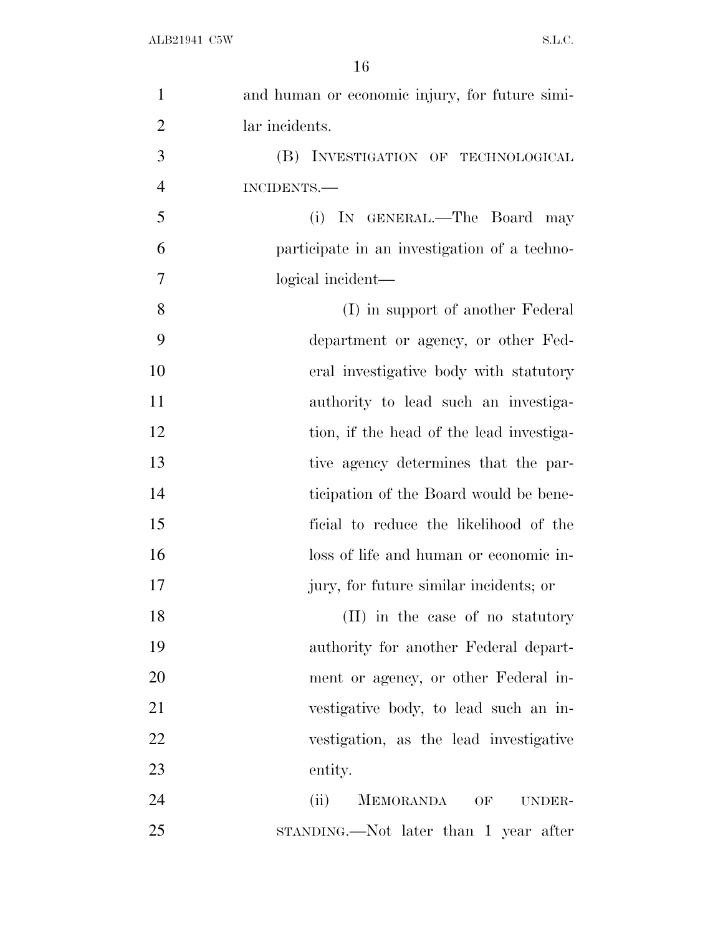| $\mathbf{1}$   | and human or economic injury, for future simi- |
|----------------|------------------------------------------------|
| $\overline{2}$ | lar incidents.                                 |
| 3              | (B) INVESTIGATION OF TECHNOLOGICAL             |
| $\overline{4}$ | INCIDENTS.-                                    |
| 5              | (i) IN GENERAL.—The Board may                  |
| 6              | participate in an investigation of a techno-   |
| 7              | logical incident—                              |
| 8              | (I) in support of another Federal              |
| 9              | department or agency, or other Fed-            |
| 10             | eral investigative body with statutory         |
| 11             | authority to lead such an investiga-           |
| 12             | tion, if the head of the lead investiga-       |
| 13             | tive agency determines that the par-           |
| 14             | ticipation of the Board would be bene-         |
| 15             | ficial to reduce the likelihood of the         |
| 16             | loss of life and human or economic in-         |
| 17             | jury, for future similar incidents; or         |
| 18             | (II) in the case of no statutory               |
| 19             | authority for another Federal depart-          |
| 20             | ment or agency, or other Federal in-           |
| 21             | vestigative body, to lead such an in-          |
| 22             | vestigation, as the lead investigative         |
| 23             | entity.                                        |
| 24             | MEMORANDA OF<br>(ii)<br>UNDER-                 |
| 25             | STANDING.—Not later than 1 year after          |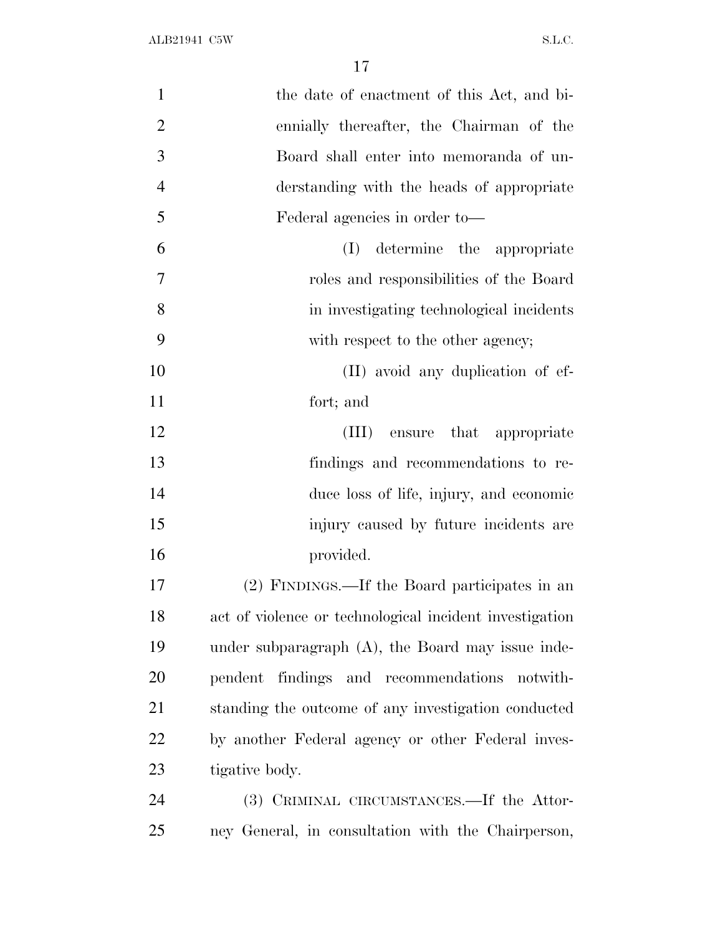| $\mathbf{1}$   | the date of enactment of this Act, and bi-              |
|----------------|---------------------------------------------------------|
| $\overline{2}$ | ennially thereafter, the Chairman of the                |
| 3              | Board shall enter into memoranda of un-                 |
| $\overline{4}$ | derstanding with the heads of appropriate               |
| 5              | Federal agencies in order to-                           |
| 6              | determine the appropriate<br>(I)                        |
| 7              | roles and responsibilities of the Board                 |
| 8              | in investigating technological incidents                |
| 9              | with respect to the other agency;                       |
| 10             | (II) avoid any duplication of ef-                       |
| 11             | fort; and                                               |
| 12             | that appropriate<br>(III) ensure                        |
| 13             | findings and recommendations to re-                     |
| 14             | duce loss of life, injury, and economic                 |
| 15             | injury caused by future incidents are                   |
| 16             | provided.                                               |
| 17             | (2) FINDINGS.—If the Board participates in an           |
| 18             | act of violence or technological incident investigation |
| 19             | under subparagraph $(A)$ , the Board may issue inde-    |
| 20             | findings and recommendations<br>pendent<br>notwith-     |
| 21             | standing the outcome of any investigation conducted     |
| 22             | by another Federal agency or other Federal inves-       |
| 23             | tigative body.                                          |
| 24             | (3) CRIMINAL CIRCUMSTANCES.—If the Attor-               |
| 25             | ney General, in consultation with the Chairperson,      |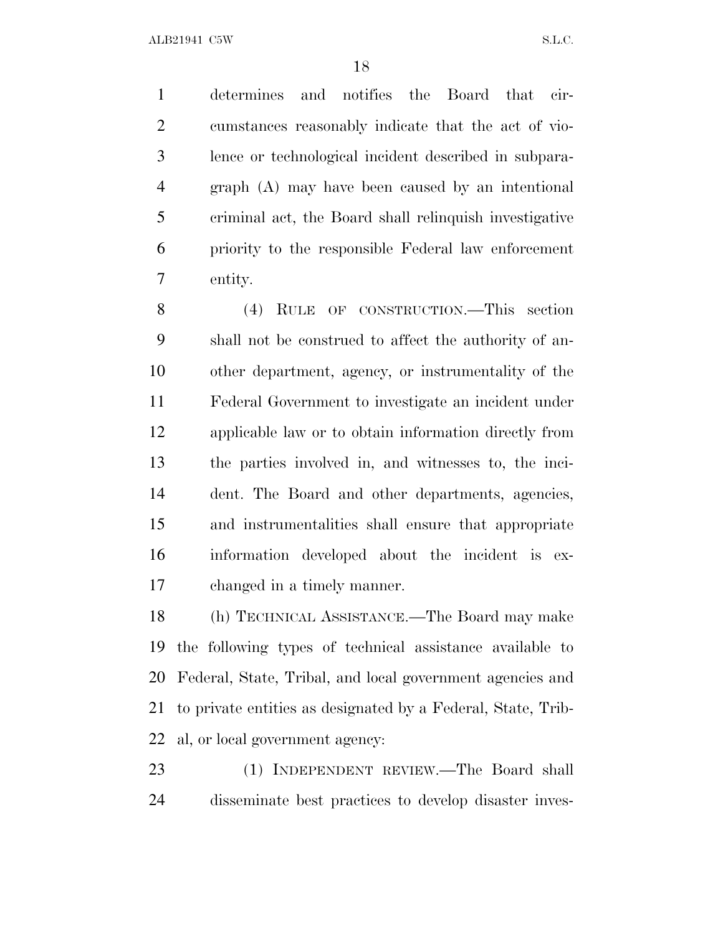determines and notifies the Board that cir- cumstances reasonably indicate that the act of vio- lence or technological incident described in subpara- graph (A) may have been caused by an intentional criminal act, the Board shall relinquish investigative priority to the responsible Federal law enforcement entity.

 (4) RULE OF CONSTRUCTION.—This section shall not be construed to affect the authority of an- other department, agency, or instrumentality of the Federal Government to investigate an incident under applicable law or to obtain information directly from the parties involved in, and witnesses to, the inci- dent. The Board and other departments, agencies, and instrumentalities shall ensure that appropriate information developed about the incident is ex-changed in a timely manner.

 (h) TECHNICAL ASSISTANCE.—The Board may make the following types of technical assistance available to Federal, State, Tribal, and local government agencies and to private entities as designated by a Federal, State, Trib-al, or local government agency:

 (1) INDEPENDENT REVIEW.—The Board shall disseminate best practices to develop disaster inves-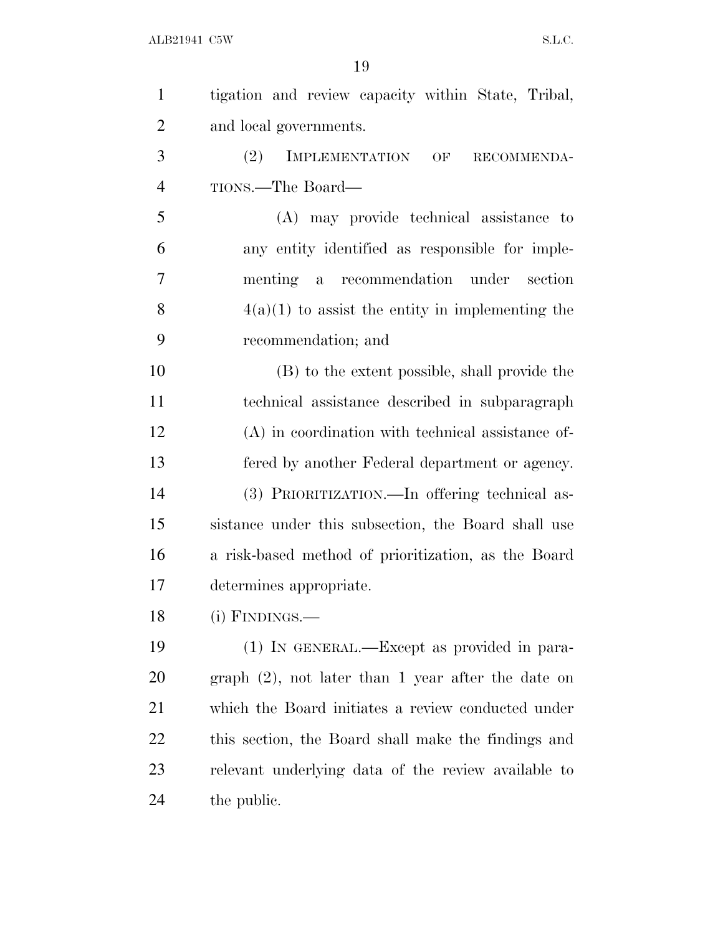| $\mathbf{1}$   | tigation and review capacity within State, Tribal,    |
|----------------|-------------------------------------------------------|
| $\overline{2}$ | and local governments.                                |
| 3              | (2)<br><b>IMPLEMENTATION</b><br>OF<br>RECOMMENDA-     |
| $\overline{4}$ | TIONS.—The Board—                                     |
| 5              | (A) may provide technical assistance to               |
| 6              | any entity identified as responsible for imple-       |
| 7              | a recommendation under section<br>menting             |
| 8              | $4(a)(1)$ to assist the entity in implementing the    |
| 9              | recommendation; and                                   |
| 10             | (B) to the extent possible, shall provide the         |
| 11             | technical assistance described in subparagraph        |
| 12             | (A) in coordination with technical assistance of-     |
| 13             | fered by another Federal department or agency.        |
| 14             | (3) PRIORITIZATION.—In offering technical as-         |
| 15             | sistance under this subsection, the Board shall use   |
| 16             | a risk-based method of prioritization, as the Board   |
| 17             | determines appropriate.                               |
| 18             | (i) FINDINGS.-                                        |
| 19             | (1) IN GENERAL.—Except as provided in para-           |
| 20             | $graph (2)$ , not later than 1 year after the date on |
| 21             | which the Board initiates a review conducted under    |
| 22             | this section, the Board shall make the findings and   |
| 23             | relevant underlying data of the review available to   |
| 24             | the public.                                           |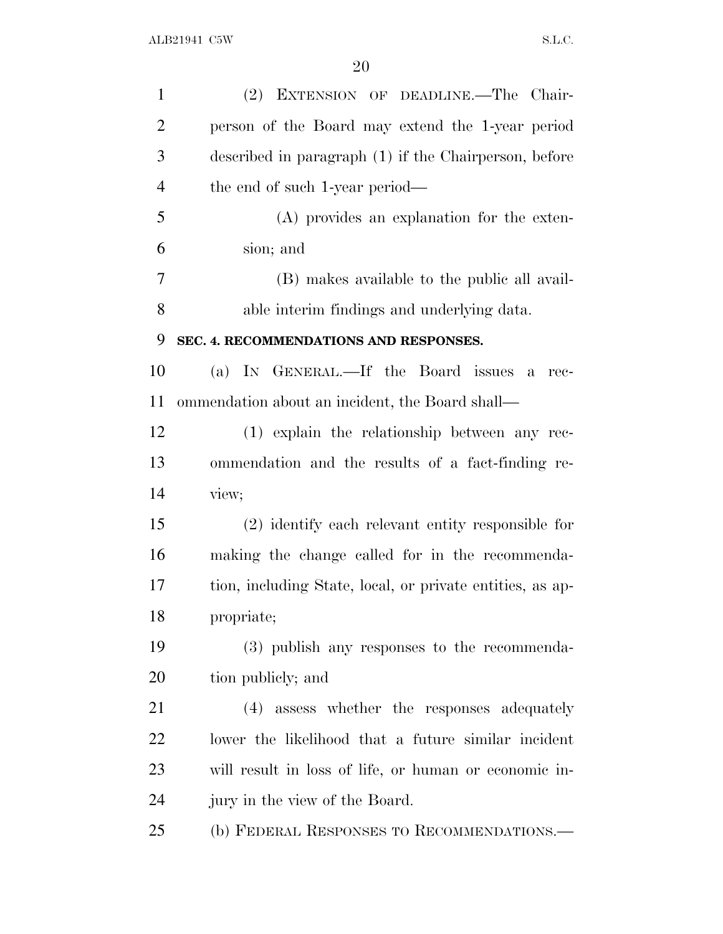| $\mathbf{1}$   | (2) EXTENSION OF DEADLINE.—The Chair-                     |
|----------------|-----------------------------------------------------------|
| $\overline{2}$ | person of the Board may extend the 1-year period          |
| 3              | described in paragraph (1) if the Chairperson, before     |
| $\overline{4}$ | the end of such 1-year period—                            |
| 5              | (A) provides an explanation for the exten-                |
| 6              | sion; and                                                 |
| 7              | (B) makes available to the public all avail-              |
| 8              | able interim findings and underlying data.                |
| 9              | SEC. 4. RECOMMENDATIONS AND RESPONSES.                    |
| 10             | (a) IN GENERAL.—If the Board issues a rec-                |
| 11             | ommendation about an incident, the Board shall—           |
| 12             | (1) explain the relationship between any rec-             |
| 13             | ommendation and the results of a fact-finding re-         |
| 14             | view;                                                     |
| 15             | (2) identify each relevant entity responsible for         |
| 16             | making the change called for in the recommenda-           |
| 17             | tion, including State, local, or private entities, as ap- |
| 18             | propriate;                                                |
| 19             | (3) publish any responses to the recommenda-              |
| 20             | tion publicly; and                                        |
| 21             | (4) assess whether the responses adequately               |
| 22             | lower the likelihood that a future similar incident       |
| 23             | will result in loss of life, or human or economic in-     |
| 24             | jury in the view of the Board.                            |
| 25             | (b) FEDERAL RESPONSES TO RECOMMENDATIONS.-                |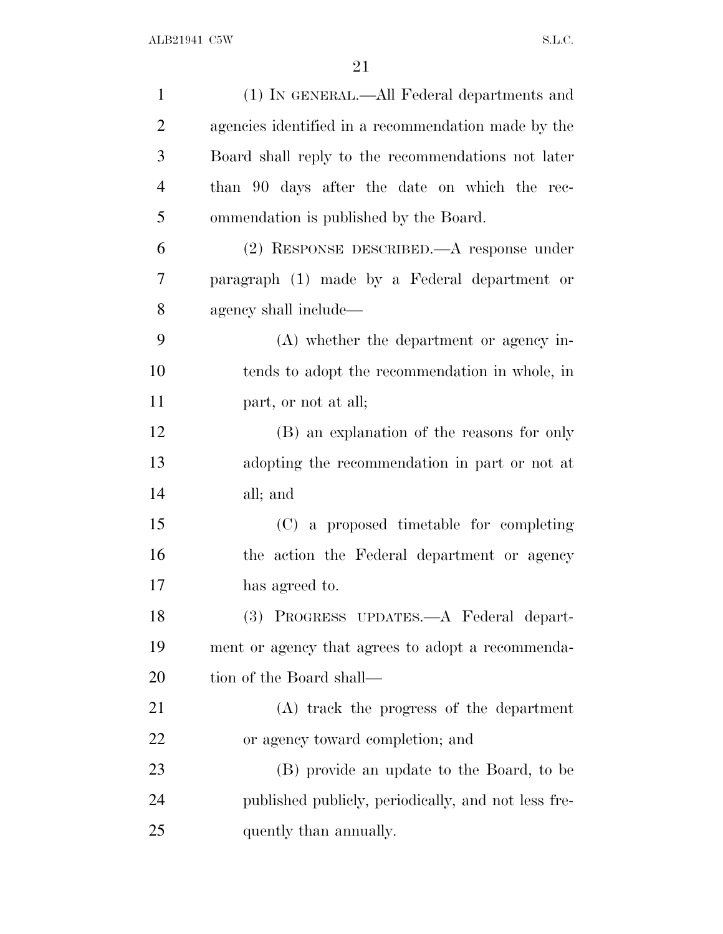| $\mathbf{1}$   | (1) IN GENERAL.—All Federal departments and         |
|----------------|-----------------------------------------------------|
| $\overline{2}$ | agencies identified in a recommendation made by the |
| 3              | Board shall reply to the recommendations not later  |
| $\overline{4}$ | than 90 days after the date on which the rec-       |
| 5              | ommendation is published by the Board.              |
| 6              | (2) RESPONSE DESCRIBED.—A response under            |
| 7              | paragraph (1) made by a Federal department or       |
| 8              | agency shall include—                               |
| 9              | $(A)$ whether the department or agency in-          |
| 10             | tends to adopt the recommendation in whole, in      |
| 11             | part, or not at all;                                |
| 12             | (B) an explanation of the reasons for only          |
| 13             | adopting the recommendation in part or not at       |
| 14             | all; and                                            |
| 15             | (C) a proposed timetable for completing             |
| 16             | the action the Federal department or agency         |
| 17             | has agreed to.                                      |
| 18             | (3) PROGRESS UPDATES.—A Federal depart-             |
| 19             | ment or agency that agrees to adopt a recommenda-   |
| 20             | tion of the Board shall—                            |
| 21             | (A) track the progress of the department            |
| 22             | or agency toward completion; and                    |
| 23             | (B) provide an update to the Board, to be           |
| 24             | published publicly, periodically, and not less fre- |
| 25             | quently than annually.                              |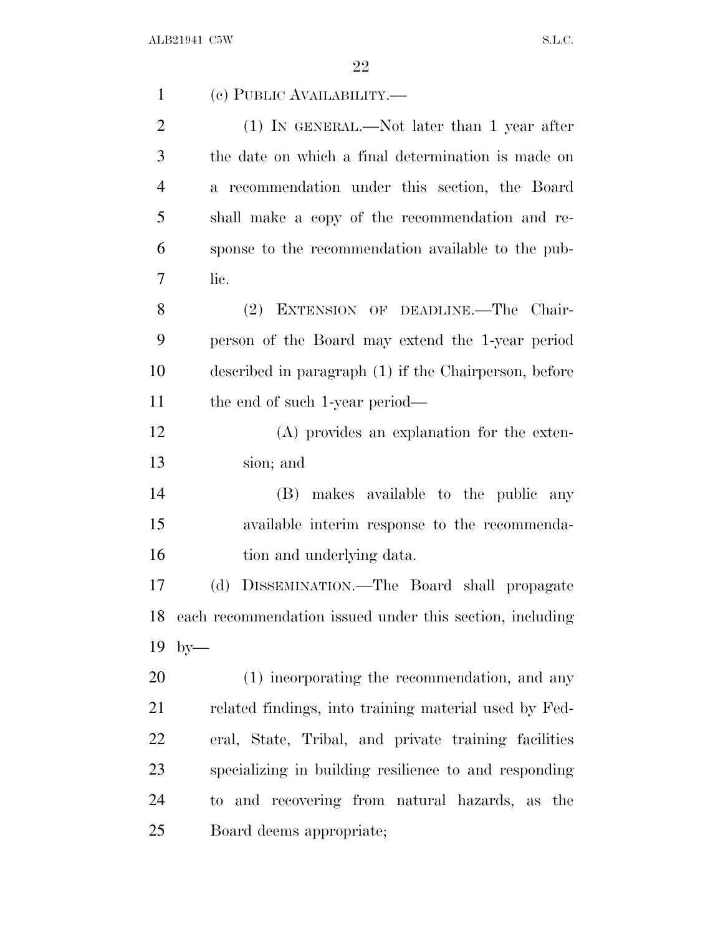| $\mathbf{1}$   | (c) PUBLIC AVAILABILITY.-                                |
|----------------|----------------------------------------------------------|
| $\overline{2}$ | $(1)$ IN GENERAL.—Not later than 1 year after            |
| 3              | the date on which a final determination is made on       |
| $\overline{4}$ | a recommendation under this section, the Board           |
| 5              | shall make a copy of the recommendation and re-          |
| 6              | sponse to the recommendation available to the pub-       |
| 7              | lic.                                                     |
| 8              | (2) EXTENSION OF DEADLINE.—The Chair-                    |
| 9              | person of the Board may extend the 1-year period         |
| 10             | described in paragraph (1) if the Chairperson, before    |
| 11             | the end of such 1-year period—                           |
| 12             | (A) provides an explanation for the exten-               |
| 13             | sion; and                                                |
| 14             | (B) makes available to the public<br>any                 |
| 15             | available interim response to the recommenda-            |
| 16             | tion and underlying data.                                |
| 17             | DISSEMINATION.—The Board shall propagate<br>(d)          |
| 18             | each recommendation issued under this section, including |
| 19             | $by-$                                                    |
| 20             | (1) incorporating the recommendation, and any            |
| 21             | related findings, into training material used by Fed-    |
| 22             | eral, State, Tribal, and private training facilities     |
| 23             | specializing in building resilience to and responding    |
| 24             | to and recovering from natural hazards, as the           |
| 25             | Board deems appropriate;                                 |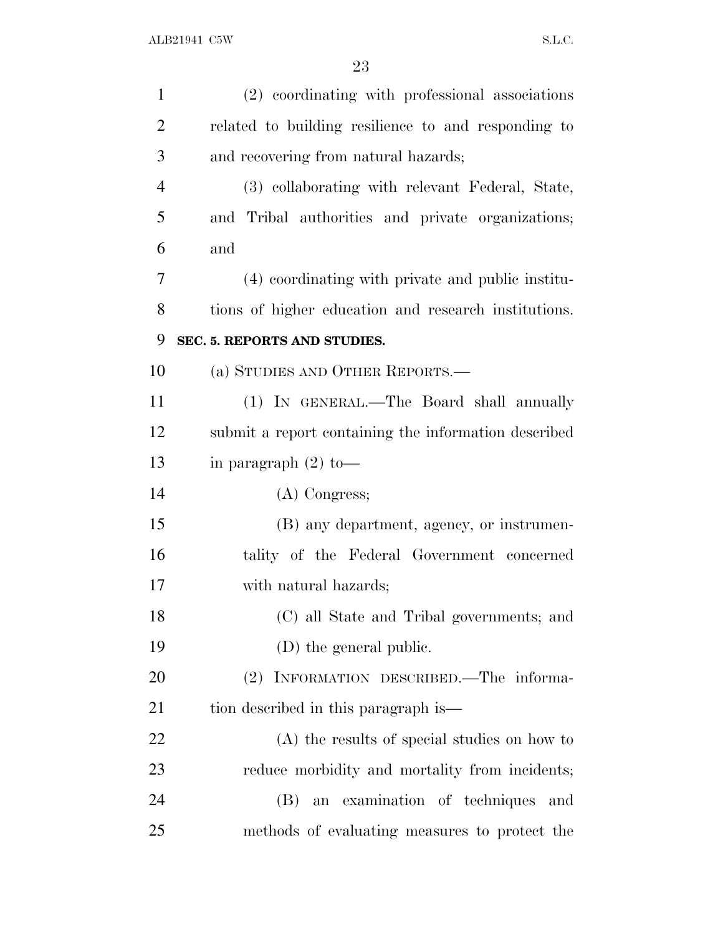| $\mathbf{1}$   | (2) coordinating with professional associations      |
|----------------|------------------------------------------------------|
| $\overline{2}$ | related to building resilience to and responding to  |
| 3              | and recovering from natural hazards;                 |
| $\overline{4}$ | (3) collaborating with relevant Federal, State,      |
| 5              | and Tribal authorities and private organizations;    |
| 6              | and                                                  |
| 7              | (4) coordinating with private and public institu-    |
| 8              | tions of higher education and research institutions. |
| 9              | SEC. 5. REPORTS AND STUDIES.                         |
| 10             | (a) STUDIES AND OTHER REPORTS.—                      |
| 11             | (1) IN GENERAL.—The Board shall annually             |
| 12             | submit a report containing the information described |
| 13             | in paragraph $(2)$ to —                              |
| 14             | $(A)$ Congress;                                      |
| 15             | (B) any department, agency, or instrumen-            |
| 16             | tality of the Federal Government concerned           |
| 17             | with natural hazards;                                |
| 18             | (C) all State and Tribal governments; and            |
| 19             | (D) the general public.                              |
| 20             | (2) INFORMATION DESCRIBED.—The informa-              |
| 21             | tion described in this paragraph is—                 |
| 22             | (A) the results of special studies on how to         |
| 23             | reduce morbidity and mortality from incidents;       |
| 24             | an examination of techniques<br>(B)<br>and           |
| 25             | methods of evaluating measures to protect the        |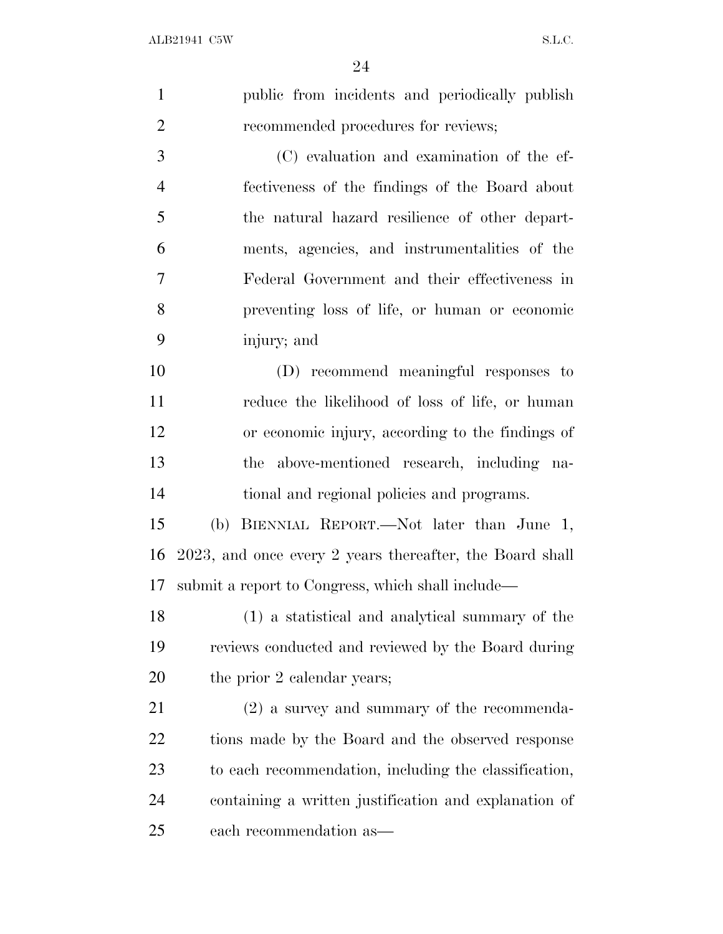$\Omega$ <sup>4</sup>

|                | 24                                                       |
|----------------|----------------------------------------------------------|
| $\mathbf{1}$   | public from incidents and periodically publish           |
| $\overline{2}$ | recommended procedures for reviews;                      |
| 3              | (C) evaluation and examination of the ef-                |
| $\overline{4}$ | fectiveness of the findings of the Board about           |
| 5              | the natural hazard resilience of other depart-           |
| 6              | ments, agencies, and instrumentalities of the            |
| 7              | Federal Government and their effectiveness in            |
| $8\,$          | preventing loss of life, or human or economic            |
| 9              | injury; and                                              |
| 10             | (D) recommend meaningful responses to                    |
| 11             | reduce the likelihood of loss of life, or human          |
| 12             | or economic injury, according to the findings of         |
| 13             | the above-mentioned research, including na-              |
| 14             | tional and regional policies and programs.               |
| 15             | (b) BIENNIAL REPORT.—Not later than June 1,              |
| 16             | 2023, and once every 2 years thereafter, the Board shall |
| 17             | submit a report to Congress, which shall include—        |
| 18             | (1) a statistical and analytical summary of the          |
| 19             | reviews conducted and reviewed by the Board during       |
| 20             | the prior 2 calendar years;                              |
| 21             | $(2)$ a survey and summary of the recommenda-            |
| 22             | tions made by the Board and the observed response        |

to each recommendation, including the classification,

containing a written justification and explanation of

each recommendation as—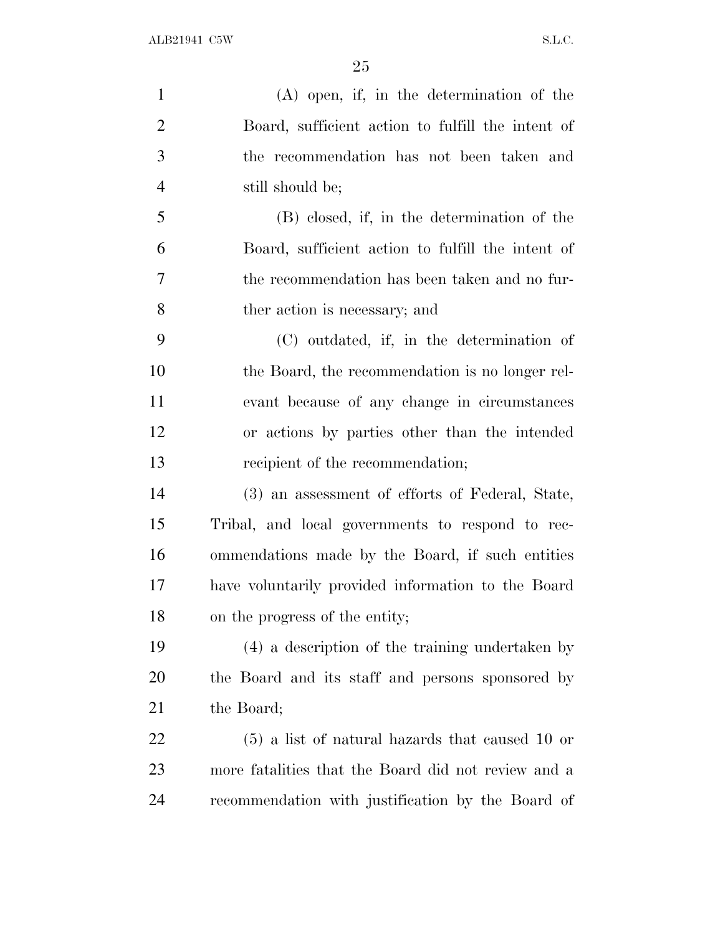(A) open, if, in the determination of the Board, sufficient action to fulfill the intent of the recommendation has not been taken and still should be; (B) closed, if, in the determination of the Board, sufficient action to fulfill the intent of the recommendation has been taken and no fur- ther action is necessary; and (C) outdated, if, in the determination of the Board, the recommendation is no longer rel- evant because of any change in circumstances or actions by parties other than the intended 13 recipient of the recommendation; (3) an assessment of efforts of Federal, State, Tribal, and local governments to respond to rec- ommendations made by the Board, if such entities have voluntarily provided information to the Board on the progress of the entity; (4) a description of the training undertaken by the Board and its staff and persons sponsored by 21 the Board; (5) a list of natural hazards that caused 10 or more fatalities that the Board did not review and a recommendation with justification by the Board of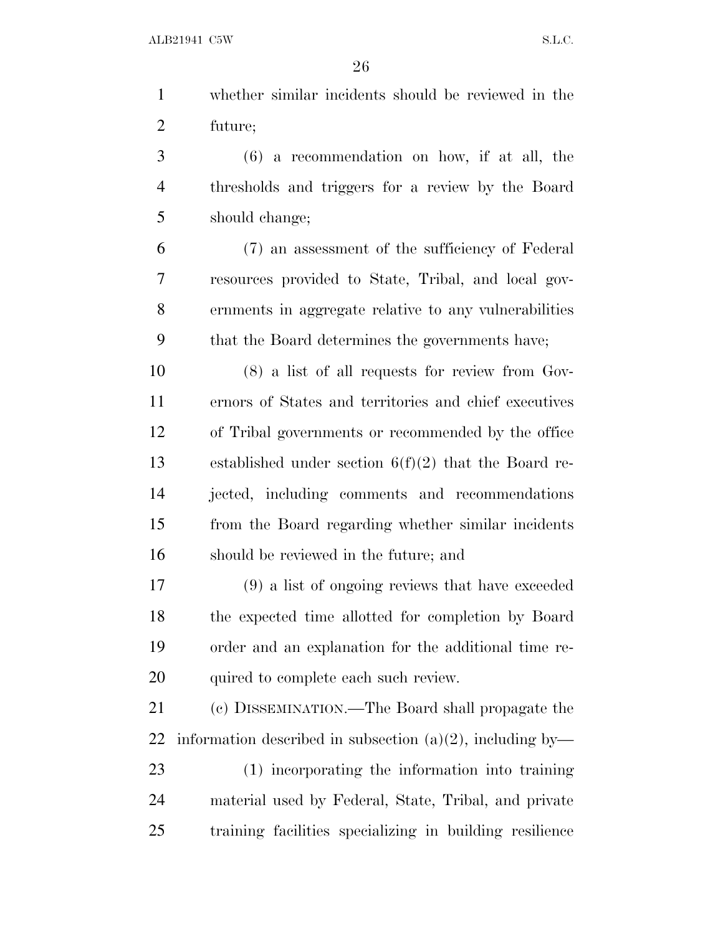whether similar incidents should be reviewed in the future;

 (6) a recommendation on how, if at all, the thresholds and triggers for a review by the Board should change;

 (7) an assessment of the sufficiency of Federal resources provided to State, Tribal, and local gov- ernments in aggregate relative to any vulnerabilities that the Board determines the governments have;

 (8) a list of all requests for review from Gov- ernors of States and territories and chief executives of Tribal governments or recommended by the office established under section 6(f)(2) that the Board re- jected, including comments and recommendations from the Board regarding whether similar incidents should be reviewed in the future; and

 (9) a list of ongoing reviews that have exceeded the expected time allotted for completion by Board order and an explanation for the additional time re-quired to complete each such review.

 (c) DISSEMINATION.—The Board shall propagate the 22 information described in subsection  $(a)(2)$ , including by-

 (1) incorporating the information into training material used by Federal, State, Tribal, and private training facilities specializing in building resilience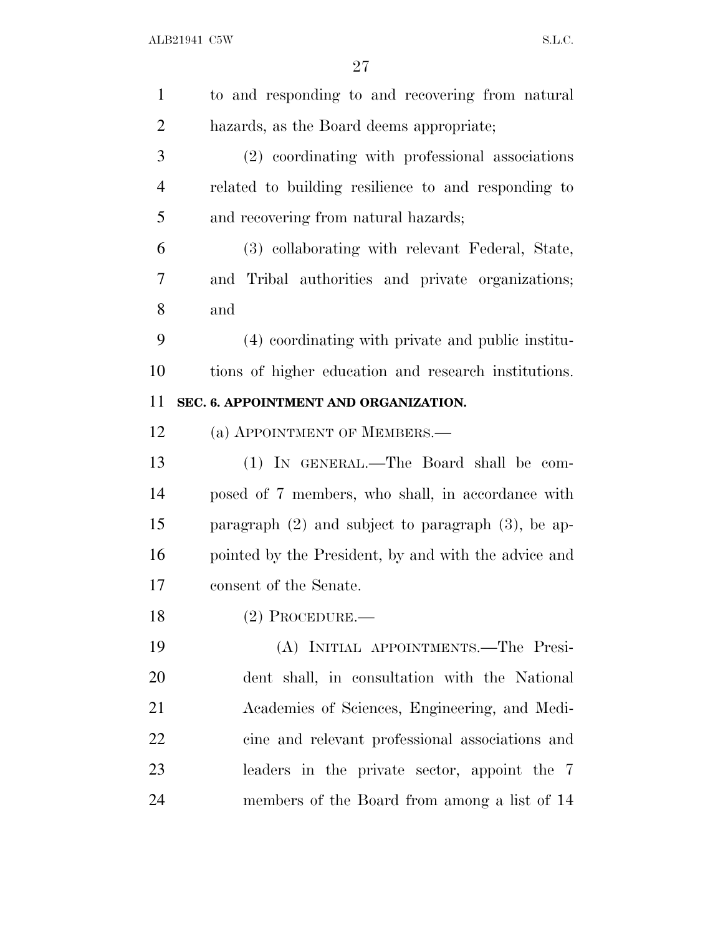| $\mathbf{1}$   | to and responding to and recovering from natural        |
|----------------|---------------------------------------------------------|
| $\overline{2}$ | hazards, as the Board deems appropriate;                |
| 3              | (2) coordinating with professional associations         |
| $\overline{4}$ | related to building resilience to and responding to     |
| 5              | and recovering from natural hazards;                    |
| 6              | (3) collaborating with relevant Federal, State,         |
| 7              | and Tribal authorities and private organizations;       |
| 8              | and                                                     |
| 9              | (4) coordinating with private and public institu-       |
| 10             | tions of higher education and research institutions.    |
| 11             | SEC. 6. APPOINTMENT AND ORGANIZATION.                   |
| 12             | (a) APPOINTMENT OF MEMBERS.                             |
| 13             | (1) IN GENERAL.—The Board shall be com-                 |
| 14             | posed of 7 members, who shall, in accordance with       |
| 15             | paragraph $(2)$ and subject to paragraph $(3)$ , be ap- |
| 16             | pointed by the President, by and with the advice and    |
| 17             | consent of the Senate.                                  |
| 18             | $(2)$ Procedure.—                                       |
| 19             | (A) INITIAL APPOINTMENTS.—The Presi-                    |
| 20             | dent shall, in consultation with the National           |
| 21             | Academies of Sciences, Engineering, and Medi-           |
| 22             | cine and relevant professional associations and         |
| 23             | leaders in the private sector, appoint the 7            |
| 24             | members of the Board from among a list of 14            |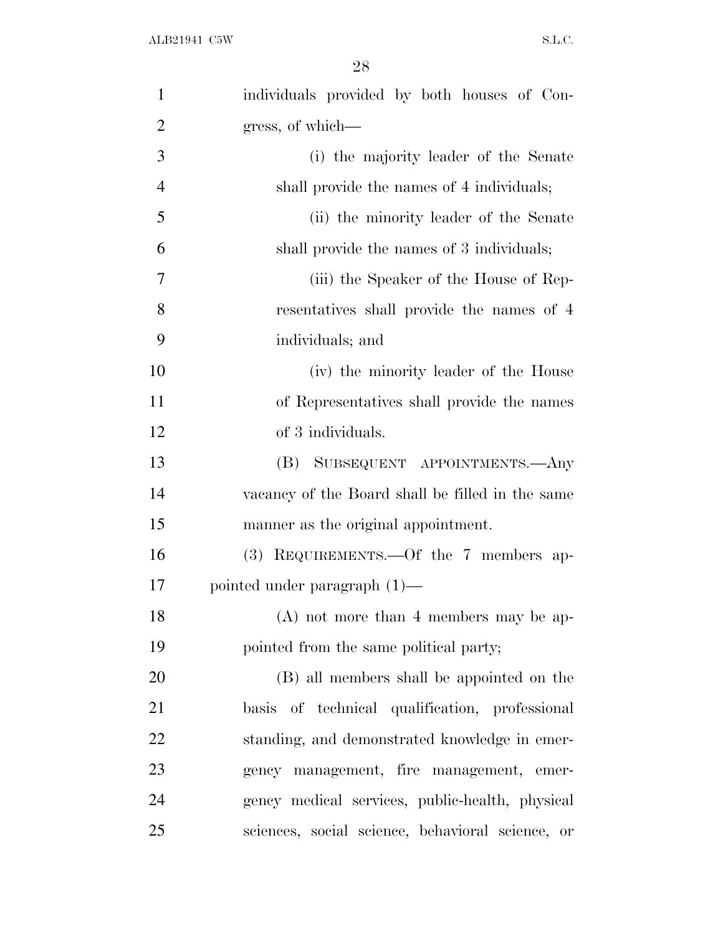| $\mathbf{1}$   | individuals provided by both houses of Con-      |
|----------------|--------------------------------------------------|
| $\overline{2}$ | gress, of which-                                 |
| 3              | (i) the majority leader of the Senate            |
| $\overline{4}$ | shall provide the names of 4 individuals;        |
| 5              | (ii) the minority leader of the Senate           |
| 6              | shall provide the names of 3 individuals;        |
| 7              | (iii) the Speaker of the House of Rep-           |
| 8              | resentatives shall provide the names of 4        |
| 9              | individuals; and                                 |
| 10             | (iv) the minority leader of the House            |
| 11             | of Representatives shall provide the names       |
| 12             | of 3 individuals.                                |
| 13             | SUBSEQUENT APPOINTMENTS.—Any<br>(B)              |
| 14             | vacancy of the Board shall be filled in the same |
| 15             | manner as the original appointment.              |
| 16             | $(3)$ REQUIREMENTS.—Of the 7 members ap-         |
| 17             | pointed under paragraph $(1)$ —                  |
| 18             | $(A)$ not more than 4 members may be ap-         |
| 19             | pointed from the same political party;           |
| 20             | (B) all members shall be appointed on the        |
| 21             | basis of technical qualification, professional   |
| 22             | standing, and demonstrated knowledge in emer-    |
| 23             | gency management, fire management, emer-         |
| 24             | gency medical services, public-health, physical  |
| 25             | sciences, social science, behavioral science, or |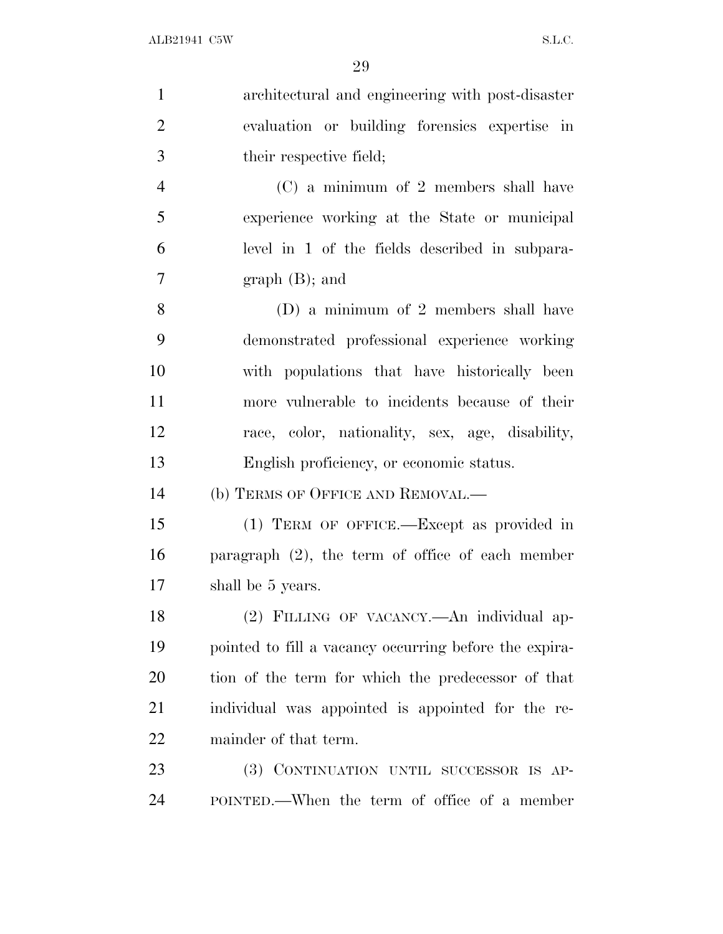| $\mathbf{1}$   | architectural and engineering with post-disaster       |
|----------------|--------------------------------------------------------|
| $\overline{2}$ | evaluation or building forensies expertise in          |
| 3              | their respective field;                                |
| $\overline{4}$ | (C) a minimum of 2 members shall have                  |
| 5              | experience working at the State or municipal           |
| 6              | level in 1 of the fields described in subpara-         |
| $\overline{7}$ | $graph(B);$ and                                        |
| 8              | (D) a minimum of 2 members shall have                  |
| 9              | demonstrated professional experience working           |
| 10             | with populations that have historically been           |
| 11             | more vulnerable to incidents because of their          |
| 12             | race, color, nationality, sex, age, disability,        |
| 13             | English proficiency, or economic status.               |
| 14             | (b) TERMS OF OFFICE AND REMOVAL.—                      |
| 15             | (1) TERM OF OFFICE.—Except as provided in              |
| 16             | paragraph $(2)$ , the term of office of each member    |
| 17             | shall be 5 years.                                      |
| 18             | (2) FILLING OF VACANCY.—An individual ap-              |
| 19             | pointed to fill a vacancy occurring before the expira- |
| 20             | tion of the term for which the predecessor of that     |
| 21             | individual was appointed is appointed for the re-      |
| 22             | mainder of that term.                                  |
| 23             | (3) CONTINUATION UNTIL SUCCESSOR IS AP-                |
| 24             | POINTED.—When the term of office of a member           |
|                |                                                        |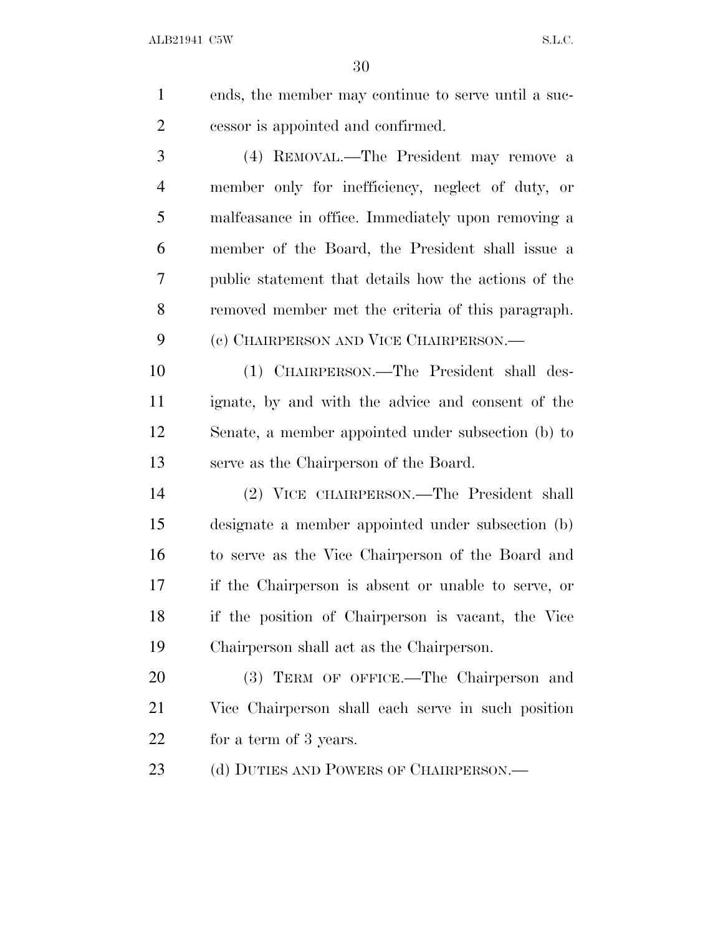ends, the member may continue to serve until a suc-cessor is appointed and confirmed.

 (4) REMOVAL.—The President may remove a member only for inefficiency, neglect of duty, or malfeasance in office. Immediately upon removing a member of the Board, the President shall issue a public statement that details how the actions of the removed member met the criteria of this paragraph. (c) CHAIRPERSON AND VICE CHAIRPERSON.—

 (1) CHAIRPERSON.—The President shall des- ignate, by and with the advice and consent of the Senate, a member appointed under subsection (b) to serve as the Chairperson of the Board.

 (2) VICE CHAIRPERSON.—The President shall designate a member appointed under subsection (b) to serve as the Vice Chairperson of the Board and if the Chairperson is absent or unable to serve, or if the position of Chairperson is vacant, the Vice Chairperson shall act as the Chairperson.

 (3) TERM OF OFFICE.—The Chairperson and Vice Chairperson shall each serve in such position for a term of 3 years.

23 (d) DUTIES AND POWERS OF CHAIRPERSON.—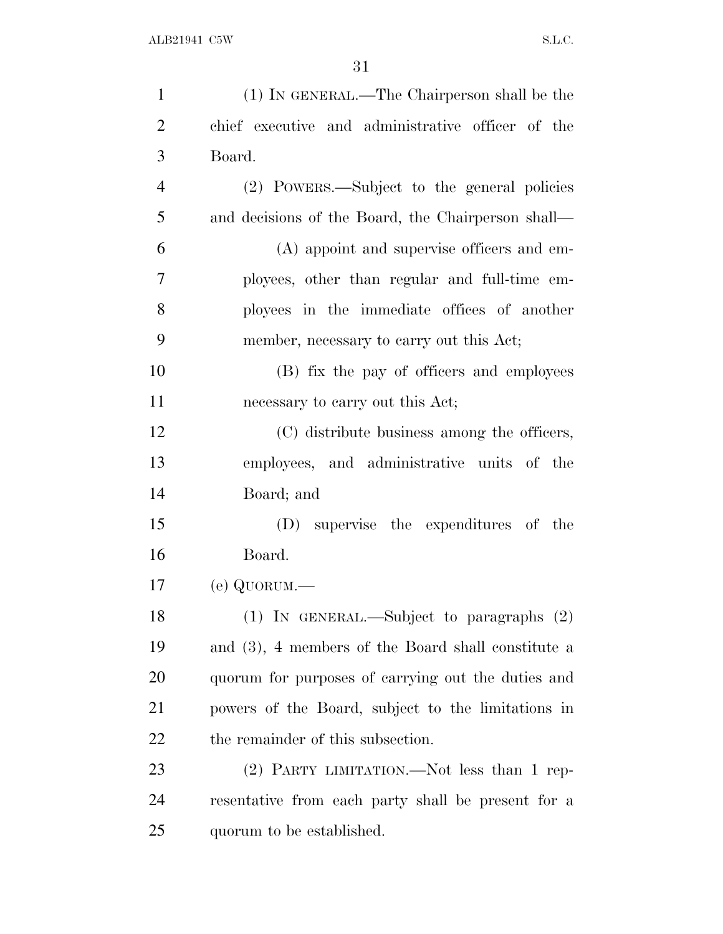| $\mathbf{1}$   | (1) IN GENERAL.—The Chairperson shall be the       |
|----------------|----------------------------------------------------|
| $\overline{2}$ | chief executive and administrative officer of the  |
| 3              | Board.                                             |
| $\overline{4}$ | (2) POWERS.—Subject to the general policies        |
| 5              | and decisions of the Board, the Chairperson shall— |
| 6              | (A) appoint and supervise officers and em-         |
| $\tau$         | ployees, other than regular and full-time em-      |
| 8              | ployees in the immediate offices of another        |
| 9              | member, necessary to carry out this Act;           |
| 10             | (B) fix the pay of officers and employees          |
| 11             | necessary to carry out this Act;                   |
| 12             | (C) distribute business among the officers,        |
| 13             | employees, and administrative units of the         |
| 14             | Board; and                                         |
| 15             | (D) supervise the expenditures of the              |
| 16             | Board.                                             |
| 17             | $(e)$ QUORUM.—                                     |
| 18             | $(1)$ In GENERAL.—Subject to paragraphs $(2)$      |
| 19             | and (3), 4 members of the Board shall constitute a |
| 20             | quorum for purposes of carrying out the duties and |
| 21             | powers of the Board, subject to the limitations in |
| 22             | the remainder of this subsection.                  |
| 23             | (2) PARTY LIMITATION.—Not less than 1 rep-         |
| 24             | resentative from each party shall be present for a |
| 25             | quorum to be established.                          |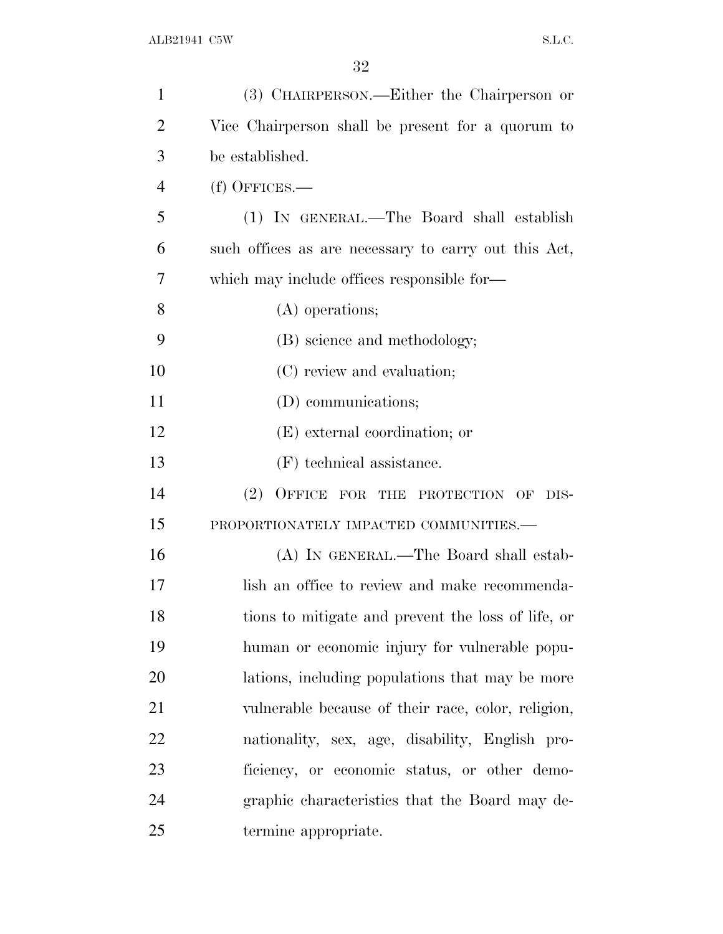| $\mathbf{1}$   | (3) CHAIRPERSON.—Either the Chairperson or           |
|----------------|------------------------------------------------------|
| $\overline{2}$ | Vice Chairperson shall be present for a quorum to    |
| 3              | be established.                                      |
| $\overline{4}$ | $(f)$ OFFICES.—                                      |
| 5              | (1) IN GENERAL.—The Board shall establish            |
| 6              | such offices as are necessary to carry out this Act, |
| 7              | which may include offices responsible for—           |
| 8              | (A) operations;                                      |
| 9              | (B) science and methodology;                         |
| 10             | (C) review and evaluation;                           |
| 11             | (D) communications;                                  |
| 12             | (E) external coordination; or                        |
| 13             | (F) technical assistance.                            |
| 14             | (2)<br>OFFICE FOR THE PROTECTION OF<br>DIS-          |
| 15             | PROPORTIONATELY IMPACTED COMMUNITIES.-               |
| 16             | (A) IN GENERAL.—The Board shall estab-               |
| 17             | lish an office to review and make recommenda-        |
| 18             | tions to mitigate and prevent the loss of life, or   |
| 19             | human or economic injury for vulnerable popu-        |
| 20             | lations, including populations that may be more      |
| 21             | vulnerable because of their race, color, religion,   |
| 22             | nationality, sex, age, disability, English pro-      |
| 23             | ficiency, or economic status, or other demo-         |
| 24             | graphic characteristics that the Board may de-       |
| 25             | termine appropriate.                                 |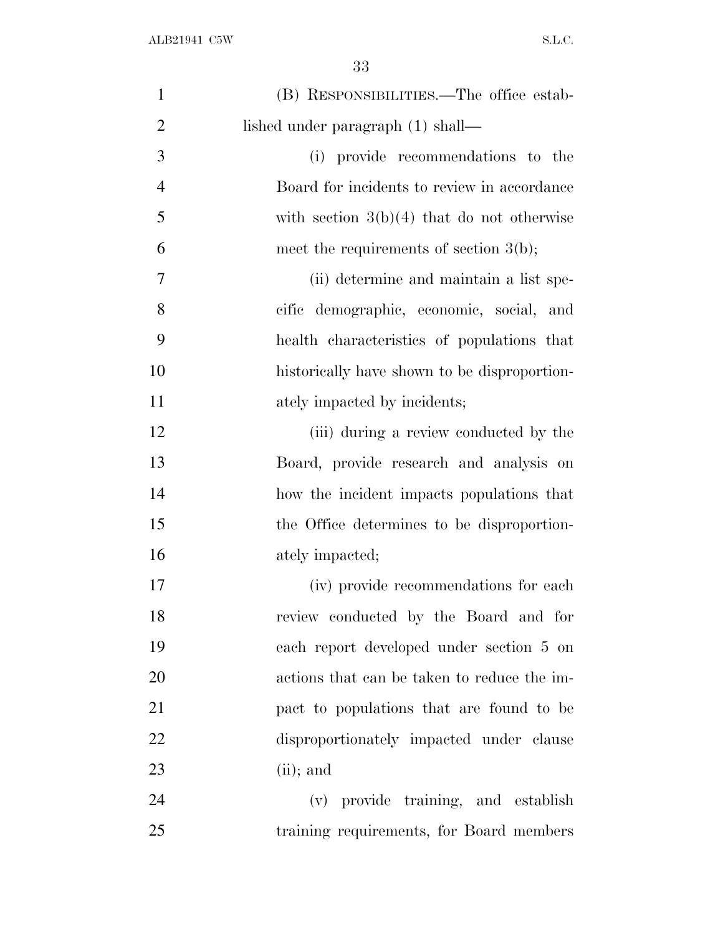| $\mathbf{1}$   | (B) RESPONSIBILITIES.—The office estab-      |
|----------------|----------------------------------------------|
| $\overline{2}$ | lished under paragraph (1) shall—            |
| 3              | (i) provide recommendations to the           |
| $\overline{4}$ | Board for incidents to review in accordance  |
| 5              | with section $3(b)(4)$ that do not otherwise |
| 6              | meet the requirements of section $3(b)$ ;    |
| 7              | (ii) determine and maintain a list spe-      |
| 8              | cific demographic, economic, social, and     |
| 9              | health characteristics of populations that   |
| 10             | historically have shown to be disproportion- |
| 11             | ately impacted by incidents;                 |
| 12             | (iii) during a review conducted by the       |
| 13             | Board, provide research and analysis on      |
| 14             | how the incident impacts populations that    |
| 15             | the Office determines to be disproportion-   |
| 16             | ately impacted;                              |
| 17             | (iv) provide recommendations for each        |
| 18             | review conducted by the Board and for        |
| 19             | each report developed under section 5 on     |
| 20             | actions that can be taken to reduce the im-  |
| 21             | pact to populations that are found to be     |
| 22             | disproportionately impacted under clause     |
| 23             | $(ii)$ ; and                                 |
| 24             | (v) provide training, and establish          |
| 25             | training requirements, for Board members     |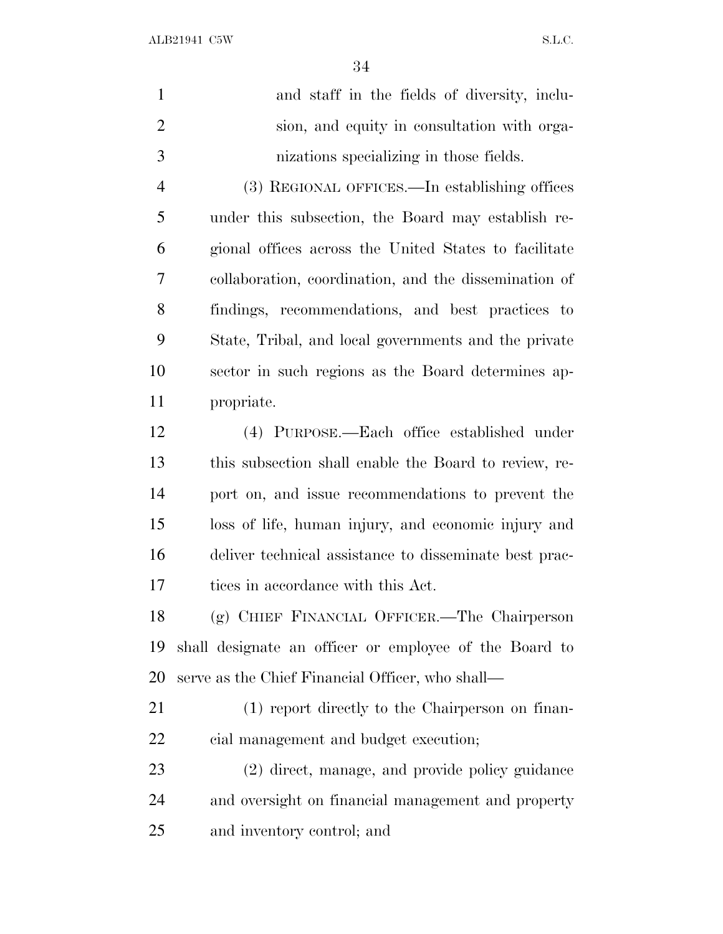$\overline{24}$ 

|                | .54                                                    |
|----------------|--------------------------------------------------------|
| $\mathbf{1}$   | and staff in the fields of diversity, inclu-           |
| $\overline{2}$ | sion, and equity in consultation with orga-            |
| 3              | nizations specializing in those fields.                |
| $\overline{4}$ | (3) REGIONAL OFFICES.—In establishing offices          |
| 5              | under this subsection, the Board may establish re-     |
| 6              | gional offices across the United States to facilitate  |
| 7              | collaboration, coordination, and the dissemination of  |
| 8              | findings, recommendations, and best practices to       |
| 9              | State, Tribal, and local governments and the private   |
| 10             | sector in such regions as the Board determines ap-     |
| 11             | propriate.                                             |
| 12             | (4) PURPOSE.—Each office established under             |
| 13             | this subsection shall enable the Board to review, re-  |
| 14             | port on, and issue recommendations to prevent the      |
| 15             | loss of life, human injury, and economic injury and    |
| 16             | deliver technical assistance to disseminate best prac- |
| 17             | tices in accordance with this Act.                     |
| 18             | (g) CHIEF FINANCIAL OFFICER.—The Chairperson           |
| 19             | shall designate an officer or employee of the Board to |
| 20             | serve as the Chief Financial Officer, who shall—       |
| 21             | (1) report directly to the Chairperson on finan-       |

- cial management and budget execution;
- (2) direct, manage, and provide policy guidance and oversight on financial management and property and inventory control; and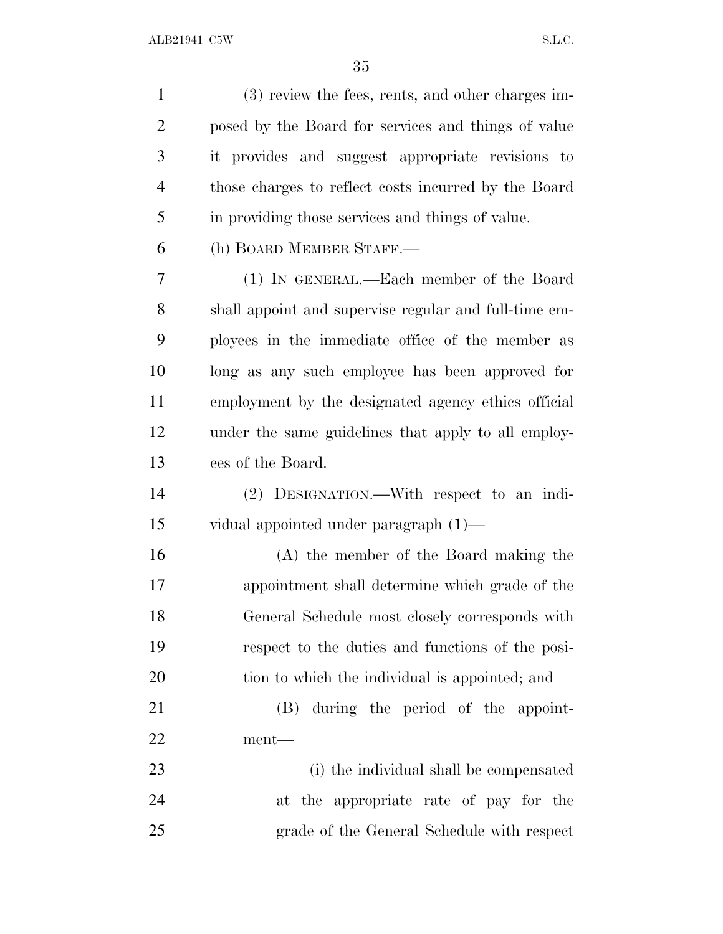| $\mathbf{1}$   | (3) review the fees, rents, and other charges im-     |
|----------------|-------------------------------------------------------|
| $\overline{2}$ | posed by the Board for services and things of value   |
| 3              | it provides and suggest appropriate revisions to      |
| $\overline{4}$ | those charges to reflect costs incurred by the Board  |
| 5              | in providing those services and things of value.      |
| 6              | (h) BOARD MEMBER STAFF.                               |
| 7              | (1) IN GENERAL.—Each member of the Board              |
| 8              | shall appoint and supervise regular and full-time em- |
| 9              | ployees in the immediate office of the member as      |
| 10             | long as any such employee has been approved for       |
| 11             | employment by the designated agency ethics official   |
| 12             | under the same guidelines that apply to all employ-   |
| 13             | ees of the Board.                                     |
| 14             | (2) DESIGNATION.—With respect to an indi-             |
| 15             | vidual appointed under paragraph $(1)$ —              |
| 16             | (A) the member of the Board making the                |
| 17             | appointment shall determine which grade of the        |
| 18             | General Schedule most closely corresponds with        |
| 19             | respect to the duties and functions of the posi-      |
| 20             | tion to which the individual is appointed; and        |
| 21             | (B) during the period of the appoint-                 |
| 22             | ment—                                                 |
| 23             | (i) the individual shall be compensated               |
| 24             | at the appropriate rate of pay for the                |
| 25             | grade of the General Schedule with respect            |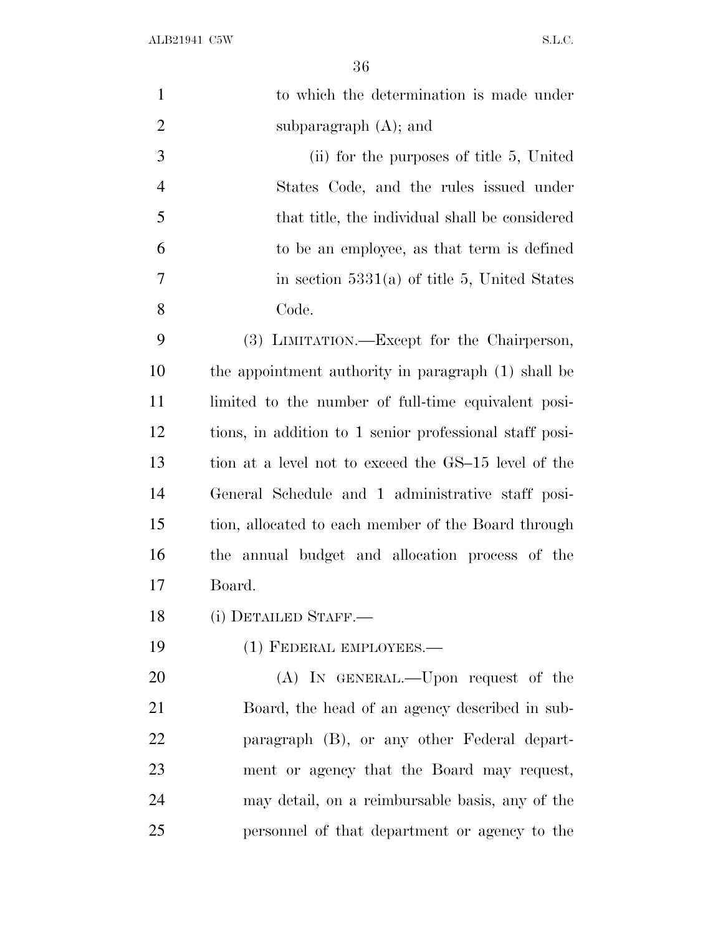| $\mathbf{1}$   | to which the determination is made under                |
|----------------|---------------------------------------------------------|
| $\overline{2}$ | subparagraph $(A)$ ; and                                |
| 3              | (ii) for the purposes of title 5, United                |
| $\overline{4}$ | States Code, and the rules issued under                 |
| 5              | that title, the individual shall be considered          |
| 6              | to be an employee, as that term is defined              |
| 7              | in section $5331(a)$ of title 5, United States          |
| 8              | Code.                                                   |
| 9              | (3) LIMITATION.—Except for the Chairperson,             |
| 10             | the appointment authority in paragraph (1) shall be     |
| 11             | limited to the number of full-time equivalent posi-     |
| 12             | tions, in addition to 1 senior professional staff posi- |
| 13             | tion at a level not to exceed the GS-15 level of the    |
| 14             | General Schedule and 1 administrative staff posi-       |
| 15             | tion, allocated to each member of the Board through     |
| 16             | the annual budget and allocation process of the         |
| 17             | Board.                                                  |
| 18             | (i) DETAILED STAFF.—                                    |
| 19             | (1) FEDERAL EMPLOYEES.-                                 |
| 20             | (A) IN GENERAL.—Upon request of the                     |
| 21             | Board, the head of an agency described in sub-          |
| 22             | paragraph (B), or any other Federal depart-             |
| 23             | ment or agency that the Board may request,              |
| 24             | may detail, on a reimbursable basis, any of the         |
| 25             | personnel of that department or agency to the           |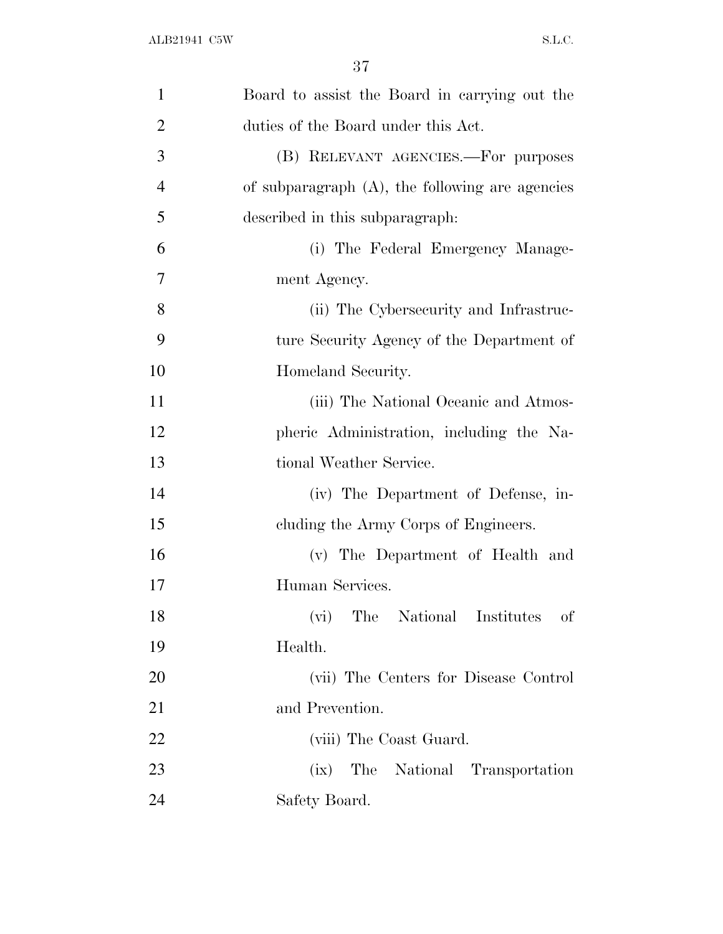| $\mathbf{1}$   | Board to assist the Board in carrying out the      |
|----------------|----------------------------------------------------|
| $\overline{2}$ | duties of the Board under this Act.                |
| 3              | (B) RELEVANT AGENCIES.—For purposes                |
| $\overline{4}$ | of subparagraph $(A)$ , the following are agencies |
| 5              | described in this subparagraph.                    |
| 6              | (i) The Federal Emergency Manage-                  |
| 7              | ment Agency.                                       |
| 8              | (ii) The Cybersecurity and Infrastruc-             |
| 9              | ture Security Agency of the Department of          |
| 10             | Homeland Security.                                 |
| 11             | (iii) The National Oceanic and Atmos-              |
| 12             | pheric Administration, including the Na-           |
| 13             | tional Weather Service.                            |
| 14             | (iv) The Department of Defense, in-                |
| 15             | cluding the Army Corps of Engineers.               |
| 16             | (v) The Department of Health and                   |
| 17             | Human Services.                                    |
| 18             | (vi) The National Institutes<br>of                 |
| 19             | Health.                                            |
| 20             | (vii) The Centers for Disease Control              |
| 21             | and Prevention.                                    |
| 22             | (viii) The Coast Guard.                            |
| 23             | The National Transportation<br>(ix)                |
| 24             | Safety Board.                                      |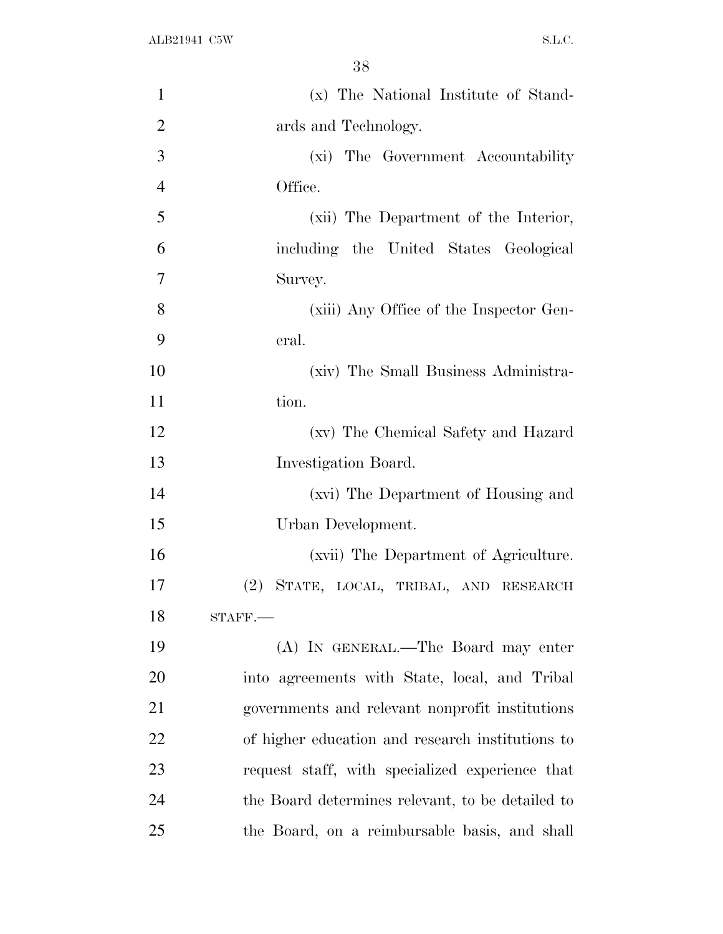| $\mathbf{1}$   | (x) The National Institute of Stand-             |
|----------------|--------------------------------------------------|
| $\overline{2}$ | ards and Technology.                             |
| 3              | (xi) The Government Accountability               |
| $\overline{4}$ | Office.                                          |
| 5              | (xii) The Department of the Interior,            |
| 6              | including the United States Geological           |
| 7              | Survey.                                          |
| 8              | (xiii) Any Office of the Inspector Gen-          |
| 9              | eral.                                            |
| 10             | (xiv) The Small Business Administra-             |
| 11             | tion.                                            |
| 12             | (xv) The Chemical Safety and Hazard              |
| 13             | Investigation Board.                             |
| 14             | (xvi) The Department of Housing and              |
| 15             | Urban Development.                               |
| 16             | (xvii) The Department of Agriculture.            |
| 17             | STATE, LOCAL, TRIBAL, AND RESEARCH<br>$(2)^{-}$  |
| 18             | $STAFF$ .                                        |
| 19             | (A) IN GENERAL.—The Board may enter              |
| 20             | into agreements with State, local, and Tribal    |
| 21             | governments and relevant nonprofit institutions  |
| 22             | of higher education and research institutions to |
| 23             | request staff, with specialized experience that  |
| 24             | the Board determines relevant, to be detailed to |
| $25\,$         | the Board, on a reimbursable basis, and shall    |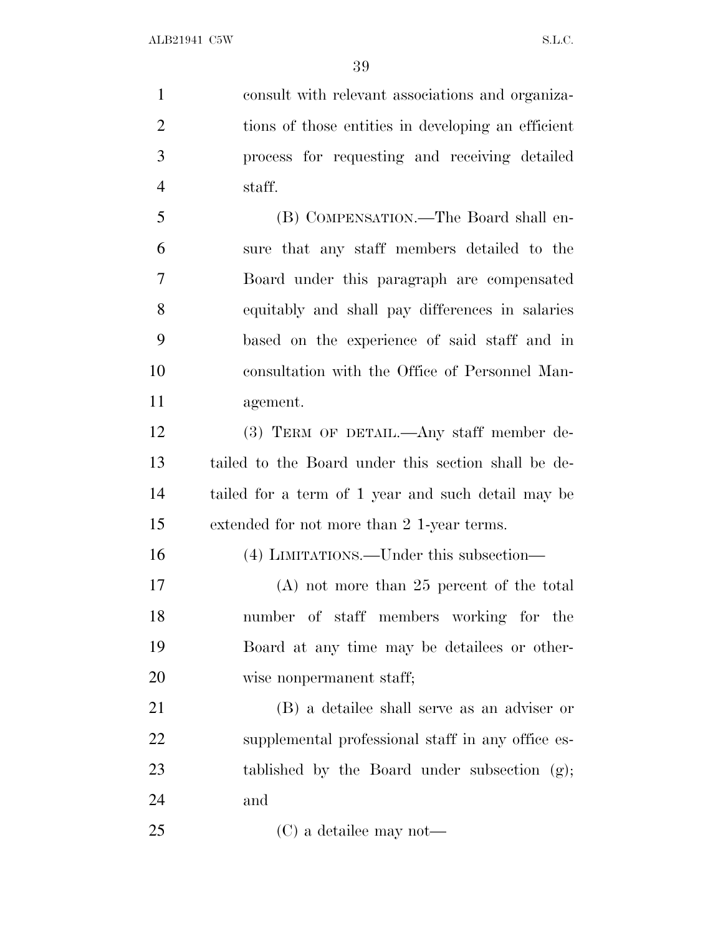consult with relevant associations and organiza- tions of those entities in developing an efficient process for requesting and receiving detailed staff. (B) COMPENSATION.—The Board shall en- sure that any staff members detailed to the Board under this paragraph are compensated equitably and shall pay differences in salaries based on the experience of said staff and in consultation with the Office of Personnel Man- agement. (3) TERM OF DETAIL.—Any staff member de-

 tailed to the Board under this section shall be de- tailed for a term of 1 year and such detail may be extended for not more than 2 1-year terms.

(4) LIMITATIONS.—Under this subsection—

 (A) not more than 25 percent of the total number of staff members working for the Board at any time may be detailees or other-wise nonpermanent staff;

 (B) a detailee shall serve as an adviser or supplemental professional staff in any office es- tablished by the Board under subsection (g); and

(C) a detailee may not—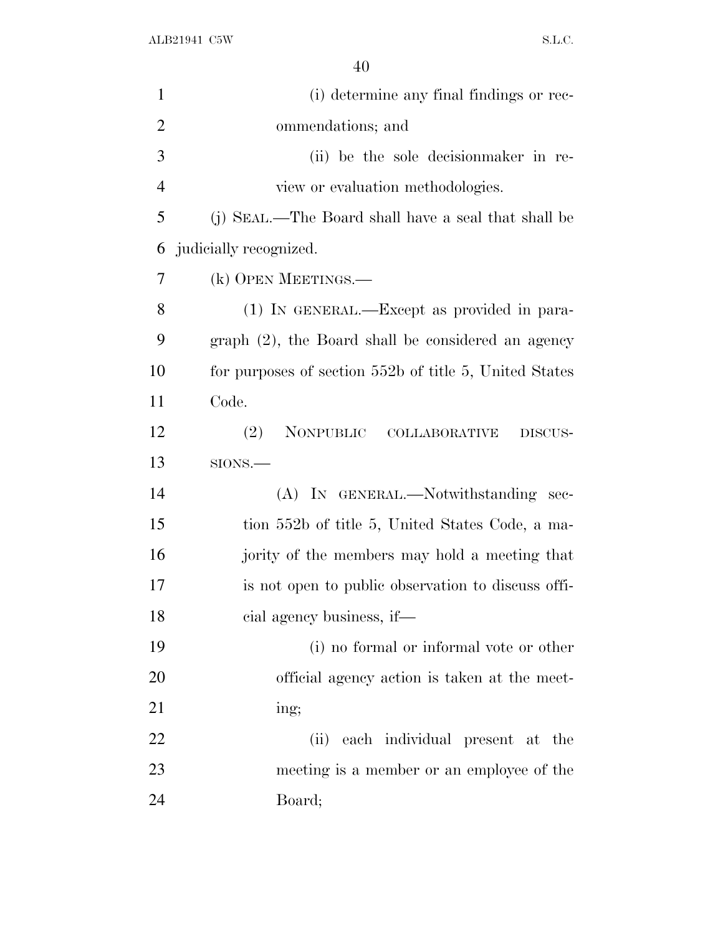| (i) determine any final findings or rec-               |
|--------------------------------------------------------|
| ommendations; and                                      |
| (ii) be the sole decision maker in re-                 |
| view or evaluation methodologies.                      |
| (j) SEAL.—The Board shall have a seal that shall be    |
| judicially recognized.                                 |
| (k) OPEN MEETINGS.—                                    |
| (1) IN GENERAL.—Except as provided in para-            |
| graph (2), the Board shall be considered an agency     |
| for purposes of section 552b of title 5, United States |
| Code.                                                  |
| (2)<br>NONPUBLIC COLLABORATIVE<br>DISCUS-              |
| SIONS.                                                 |
| (A) IN GENERAL.—Notwithstanding sec-                   |
| tion 552b of title 5, United States Code, a ma-        |
| jority of the members may hold a meeting that          |
| is not open to public observation to discuss offi-     |
| cial agency business, if—                              |
| (i) no formal or informal vote or other                |
| official agency action is taken at the meet-           |
| ing;                                                   |
| each individual present at the<br>(ii)                 |
| meeting is a member or an employee of the              |
| Board;                                                 |
|                                                        |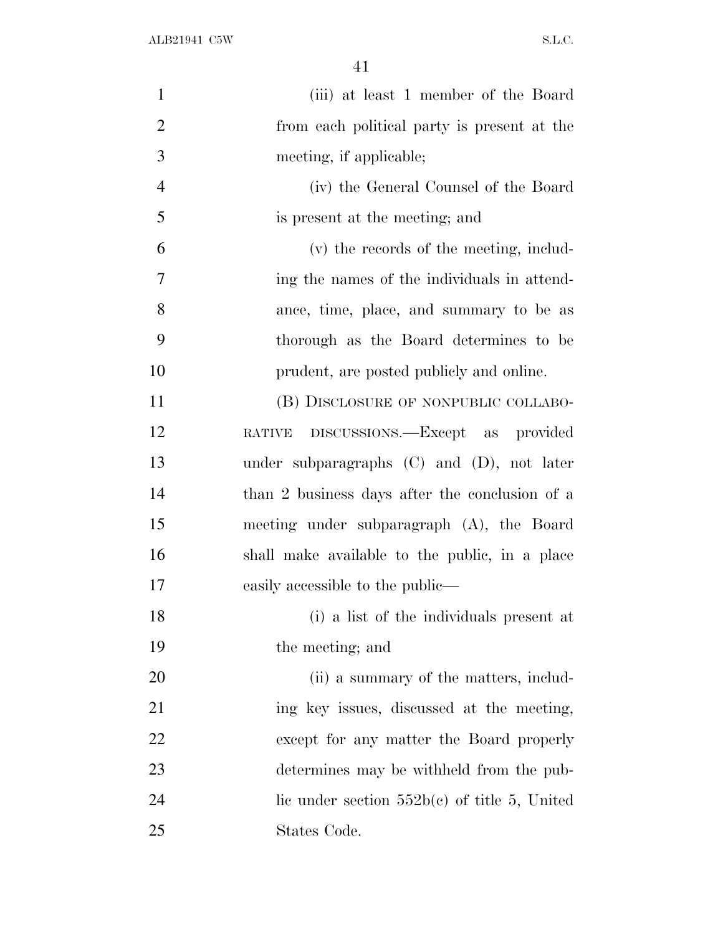| $\mathbf{1}$   | (iii) at least 1 member of the Board            |
|----------------|-------------------------------------------------|
| $\overline{2}$ | from each political party is present at the     |
| 3              | meeting, if applicable;                         |
| $\overline{4}$ | (iv) the General Counsel of the Board           |
| 5              | is present at the meeting; and                  |
| 6              | (v) the records of the meeting, includ-         |
| 7              | ing the names of the individuals in attend-     |
| 8              | ance, time, place, and summary to be as         |
| 9              | thorough as the Board determines to be          |
| 10             | prudent, are posted publicly and online.        |
| 11             | (B) DISCLOSURE OF NONPUBLIC COLLABO-            |
| 12             | RATIVE DISCUSSIONS.—Except as provided          |
| 13             | under subparagraphs $(C)$ and $(D)$ , not later |
| 14             | than 2 business days after the conclusion of a  |
| 15             | meeting under subparagraph (A), the Board       |
| 16             | shall make available to the public, in a place  |
| 17             | easily accessible to the public—                |
| 18             | (i) a list of the individuals present at        |
| 19             | the meeting; and                                |
| 20             | (ii) a summary of the matters, includ-          |
| 21             | ing key issues, discussed at the meeting,       |
| 22             | except for any matter the Board properly        |
| 23             | determines may be withheld from the pub-        |
| 24             | lic under section $552b(c)$ of title 5, United  |
| 25             | States Code.                                    |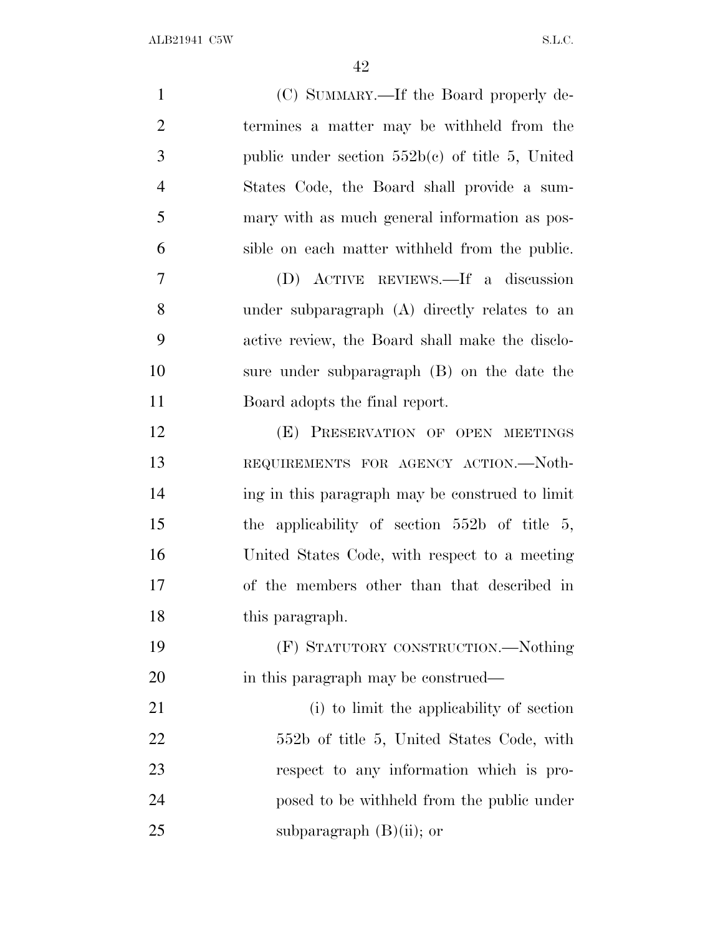| $\mathbf{1}$   | (C) SUMMARY.—If the Board properly de-            |
|----------------|---------------------------------------------------|
| $\overline{2}$ | termines a matter may be withheld from the        |
| 3              | public under section $552b(c)$ of title 5, United |
| $\overline{4}$ | States Code, the Board shall provide a sum-       |
| 5              | mary with as much general information as pos-     |
| 6              | sible on each matter withheld from the public.    |
| 7              | (D) ACTIVE REVIEWS.—If a discussion               |
| 8              | under subparagraph (A) directly relates to an     |
| 9              | active review, the Board shall make the disclo-   |
| 10             | sure under subparagraph (B) on the date the       |
| 11             | Board adopts the final report.                    |
| 12             | (E) PRESERVATION OF OPEN MEETINGS                 |
| 13             | REQUIREMENTS FOR AGENCY ACTION.-Noth-             |
| 14             | ing in this paragraph may be construed to limit   |
| 15             | the applicability of section $552b$ of title 5,   |
| 16             | United States Code, with respect to a meeting     |
| 17             | of the members other than that described in       |
| 18             | this paragraph.                                   |
| 19             | (F) STATUTORY CONSTRUCTION.—Nothing               |
| 20             | in this paragraph may be construed—               |
| 21             | (i) to limit the applicability of section         |
| 22             | 552b of title 5, United States Code, with         |
| 23             | respect to any information which is pro-          |
| 24             | posed to be withheld from the public under        |
| 25             | subparagraph $(B)(ii)$ ; or                       |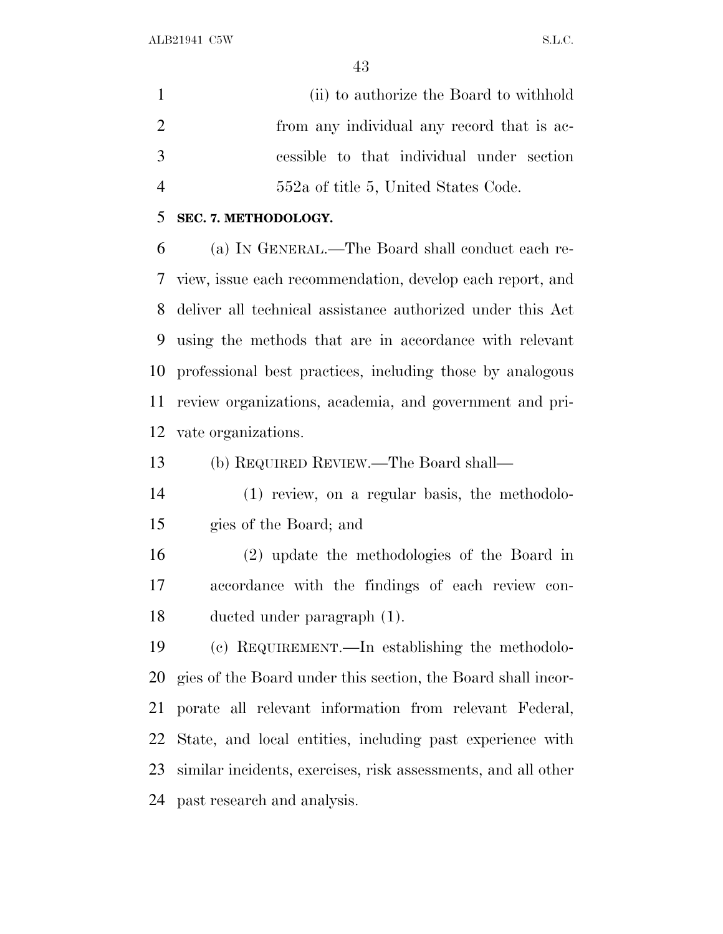(ii) to authorize the Board to withhold 2 from any individual any record that is ac- cessible to that individual under section 552a of title 5, United States Code.

#### **SEC. 7. METHODOLOGY.**

 (a) I<sup>N</sup> GENERAL.—The Board shall conduct each re- view, issue each recommendation, develop each report, and deliver all technical assistance authorized under this Act using the methods that are in accordance with relevant professional best practices, including those by analogous review organizations, academia, and government and pri-vate organizations.

(b) REQUIRED REVIEW.—The Board shall—

 (1) review, on a regular basis, the methodolo-gies of the Board; and

 (2) update the methodologies of the Board in accordance with the findings of each review con-ducted under paragraph (1).

 (c) REQUIREMENT.—In establishing the methodolo- gies of the Board under this section, the Board shall incor- porate all relevant information from relevant Federal, State, and local entities, including past experience with similar incidents, exercises, risk assessments, and all other past research and analysis.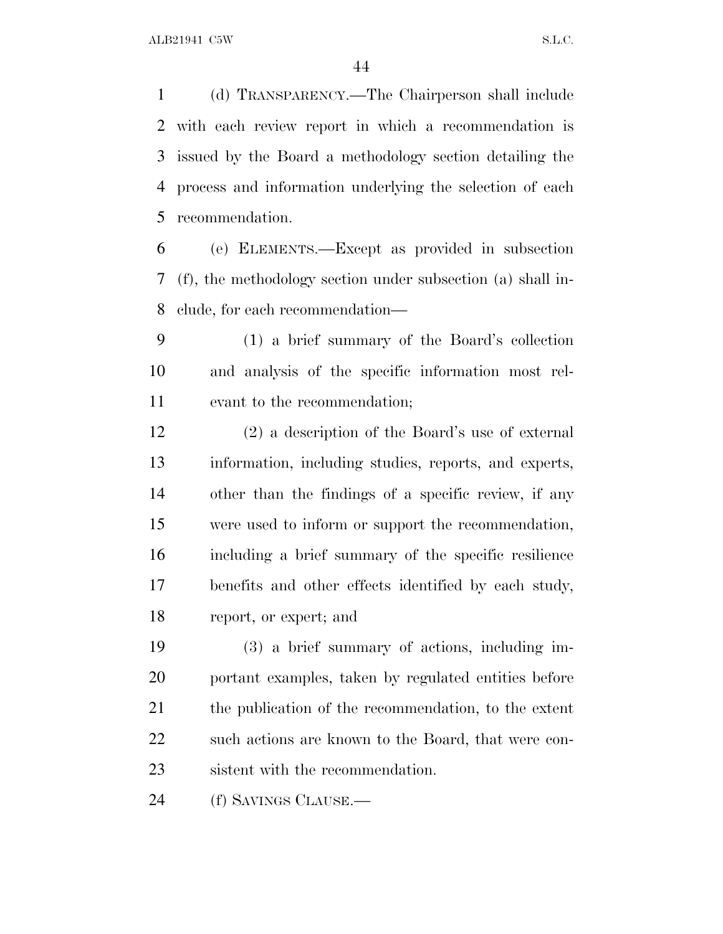(d) TRANSPARENCY.—The Chairperson shall include with each review report in which a recommendation is issued by the Board a methodology section detailing the process and information underlying the selection of each recommendation.

 (e) ELEMENTS.—Except as provided in subsection (f), the methodology section under subsection (a) shall in-clude, for each recommendation—

 (1) a brief summary of the Board's collection and analysis of the specific information most rel-evant to the recommendation;

 (2) a description of the Board's use of external information, including studies, reports, and experts, other than the findings of a specific review, if any were used to inform or support the recommendation, including a brief summary of the specific resilience benefits and other effects identified by each study, report, or expert; and

 (3) a brief summary of actions, including im- portant examples, taken by regulated entities before 21 the publication of the recommendation, to the extent 22 such actions are known to the Board, that were con-sistent with the recommendation.

(f) SAVINGS CLAUSE.—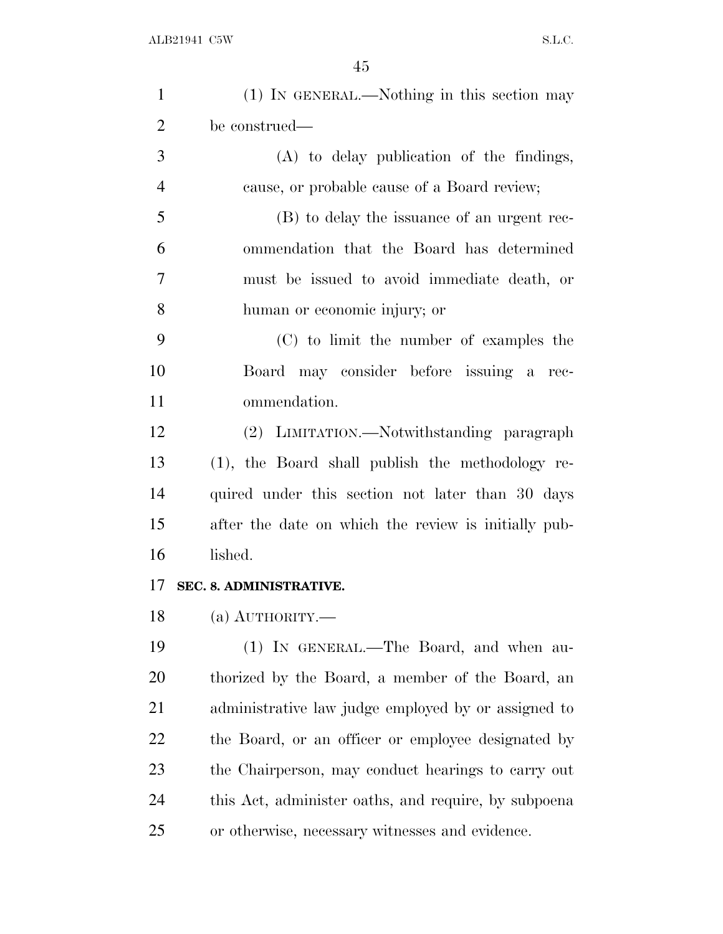| $\mathbf{1}$   | (1) IN GENERAL.—Nothing in this section may          |
|----------------|------------------------------------------------------|
| $\overline{2}$ | be construed—                                        |
| 3              | (A) to delay publication of the findings,            |
| $\overline{4}$ | cause, or probable cause of a Board review;          |
| 5              | (B) to delay the issuance of an urgent rec-          |
| 6              | ommendation that the Board has determined            |
| $\overline{7}$ | must be issued to avoid immediate death, or          |
| 8              | human or economic injury; or                         |
| 9              | (C) to limit the number of examples the              |
| 10             | Board may consider before issuing a rec-             |
| 11             | ommendation.                                         |
| 12             | (2) LIMITATION.—Notwithstanding paragraph            |
| 13             | (1), the Board shall publish the methodology re-     |
| 14             | quired under this section not later than 30 days     |
| 15             | after the date on which the review is initially pub- |
| 16             | lished.                                              |
| 17             | SEC. 8. ADMINISTRATIVE.                              |
| 18             | $(a)$ AUTHORITY.                                     |
| 19             | (1) IN GENERAL.—The Board, and when au-              |
| 20             | thorized by the Board, a member of the Board, an     |
| 21             | administrative law judge employed by or assigned to  |
| 22             | the Board, or an officer or employee designated by   |
| 23             | the Chairperson, may conduct hearings to carry out   |
| 24             | this Act, administer oaths, and require, by subpoena |
| 25             | or otherwise, necessary witnesses and evidence.      |
|                |                                                      |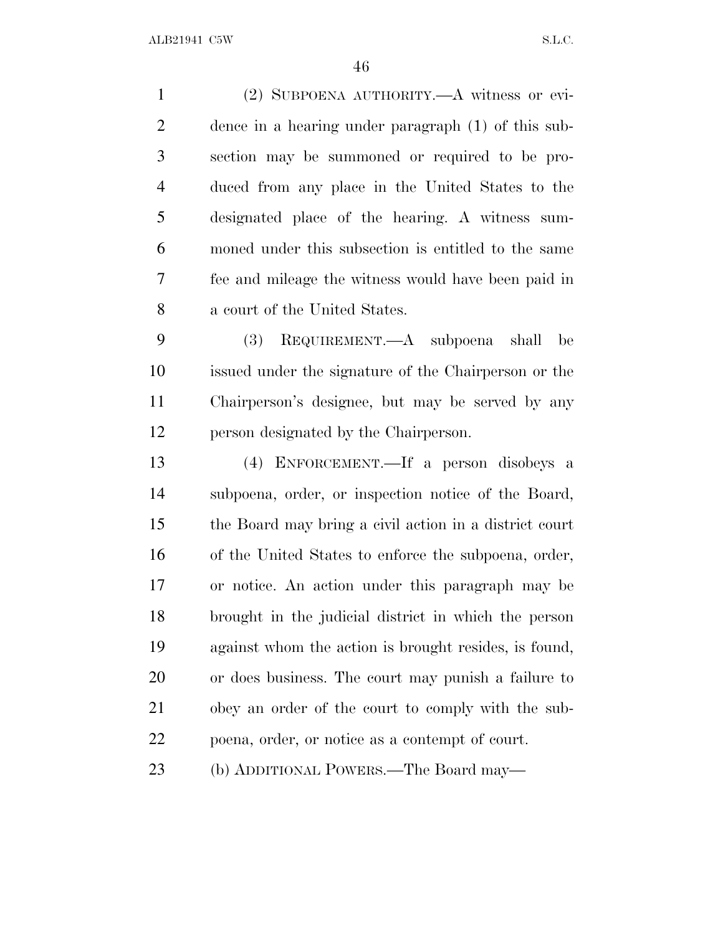(2) SUBPOENA AUTHORITY.—A witness or evi- dence in a hearing under paragraph (1) of this sub- section may be summoned or required to be pro- duced from any place in the United States to the designated place of the hearing. A witness sum- moned under this subsection is entitled to the same fee and mileage the witness would have been paid in a court of the United States. (3) REQUIREMENT.—A subpoena shall be issued under the signature of the Chairperson or the Chairperson's designee, but may be served by any person designated by the Chairperson. (4) ENFORCEMENT.—If a person disobeys a subpoena, order, or inspection notice of the Board, the Board may bring a civil action in a district court of the United States to enforce the subpoena, order, or notice. An action under this paragraph may be brought in the judicial district in which the person against whom the action is brought resides, is found, or does business. The court may punish a failure to obey an order of the court to comply with the sub- poena, order, or notice as a contempt of court. (b) ADDITIONAL POWERS.—The Board may—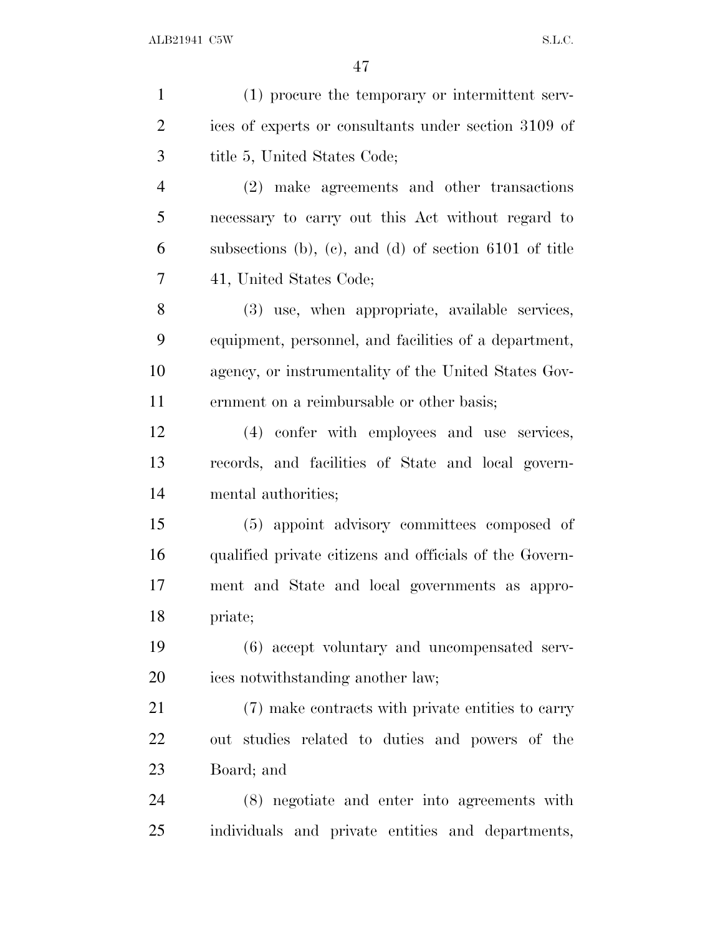| $\mathbf{1}$   | (1) procure the temporary or intermittent serv-          |
|----------------|----------------------------------------------------------|
| $\overline{2}$ | ices of experts or consultants under section 3109 of     |
| 3              | title 5, United States Code;                             |
| $\overline{4}$ | (2) make agreements and other transactions               |
| 5              | necessary to carry out this Act without regard to        |
| 6              | subsections (b), (c), and (d) of section $6101$ of title |
| 7              | 41, United States Code;                                  |
| 8              | (3) use, when appropriate, available services,           |
| 9              | equipment, personnel, and facilities of a department,    |
| 10             | agency, or instrumentality of the United States Gov-     |
| 11             | ernment on a reimbursable or other basis;                |
| 12             | (4) confer with employees and use services,              |
| 13             | records, and facilities of State and local govern-       |
| 14             | mental authorities;                                      |
| 15             | (5) appoint advisory committees composed of              |
| 16             | qualified private citizens and officials of the Govern-  |
| 17             | ment and State and local governments as appro-           |
| 18             | priate;                                                  |
| 19             | (6) accept voluntary and uncompensated serv-             |
| 20             | ices notwithstanding another law;                        |
| 21             | (7) make contracts with private entities to carry        |
| 22             | out studies related to duties and powers of the          |
| 23             | Board; and                                               |
| 24             | (8) negotiate and enter into agreements with             |
| 25             | individuals and private entities and departments,        |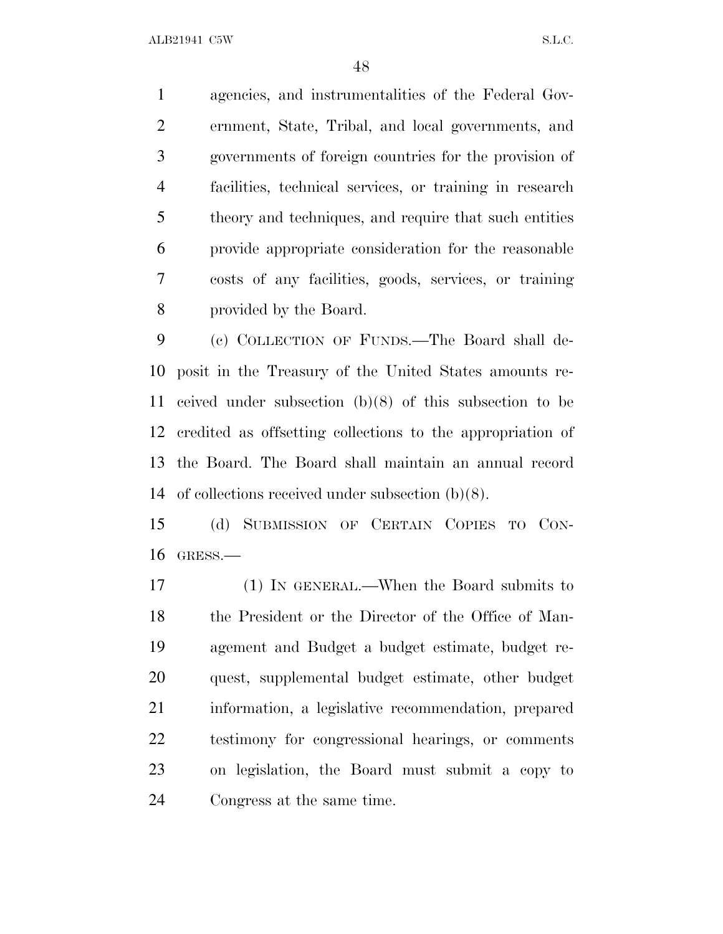agencies, and instrumentalities of the Federal Gov- ernment, State, Tribal, and local governments, and governments of foreign countries for the provision of facilities, technical services, or training in research theory and techniques, and require that such entities provide appropriate consideration for the reasonable costs of any facilities, goods, services, or training provided by the Board.

 (c) COLLECTION OF FUNDS.—The Board shall de- posit in the Treasury of the United States amounts re- ceived under subsection (b)(8) of this subsection to be credited as offsetting collections to the appropriation of the Board. The Board shall maintain an annual record of collections received under subsection (b)(8).

 (d) SUBMISSION OF CERTAIN COPIES TO CON-GRESS.—

 (1) IN GENERAL.—When the Board submits to the President or the Director of the Office of Man- agement and Budget a budget estimate, budget re- quest, supplemental budget estimate, other budget information, a legislative recommendation, prepared testimony for congressional hearings, or comments on legislation, the Board must submit a copy to Congress at the same time.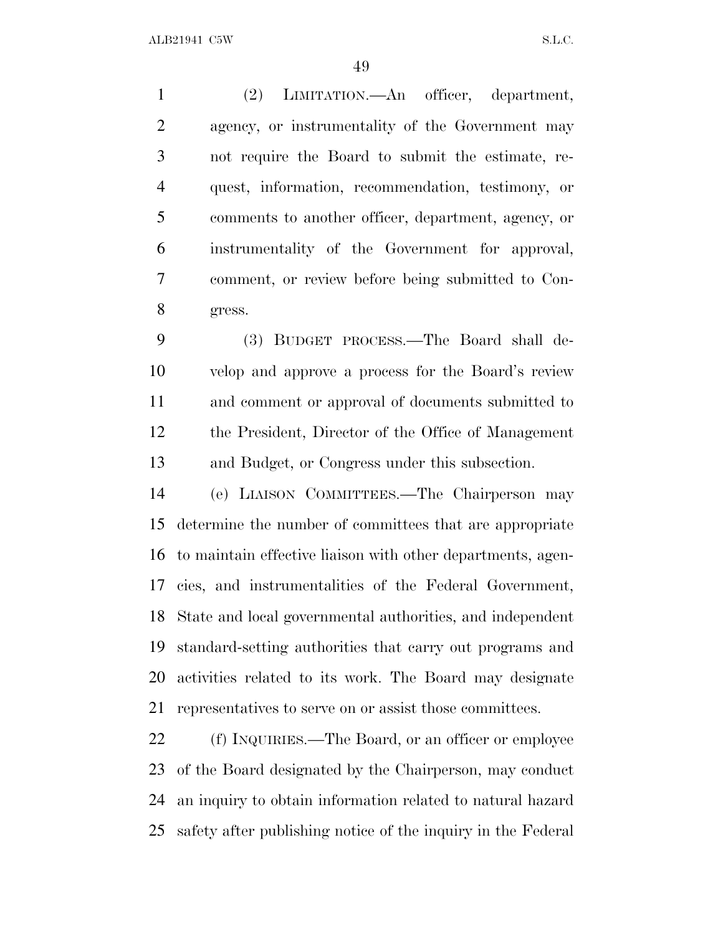(2) LIMITATION.—An officer, department, agency, or instrumentality of the Government may not require the Board to submit the estimate, re- quest, information, recommendation, testimony, or comments to another officer, department, agency, or instrumentality of the Government for approval, comment, or review before being submitted to Con-gress.

 (3) BUDGET PROCESS.—The Board shall de- velop and approve a process for the Board's review and comment or approval of documents submitted to the President, Director of the Office of Management and Budget, or Congress under this subsection.

 (e) LIAISON COMMITTEES.—The Chairperson may determine the number of committees that are appropriate to maintain effective liaison with other departments, agen- cies, and instrumentalities of the Federal Government, State and local governmental authorities, and independent standard-setting authorities that carry out programs and activities related to its work. The Board may designate representatives to serve on or assist those committees.

22 (f) INQUIRIES.—The Board, or an officer or employee of the Board designated by the Chairperson, may conduct an inquiry to obtain information related to natural hazard safety after publishing notice of the inquiry in the Federal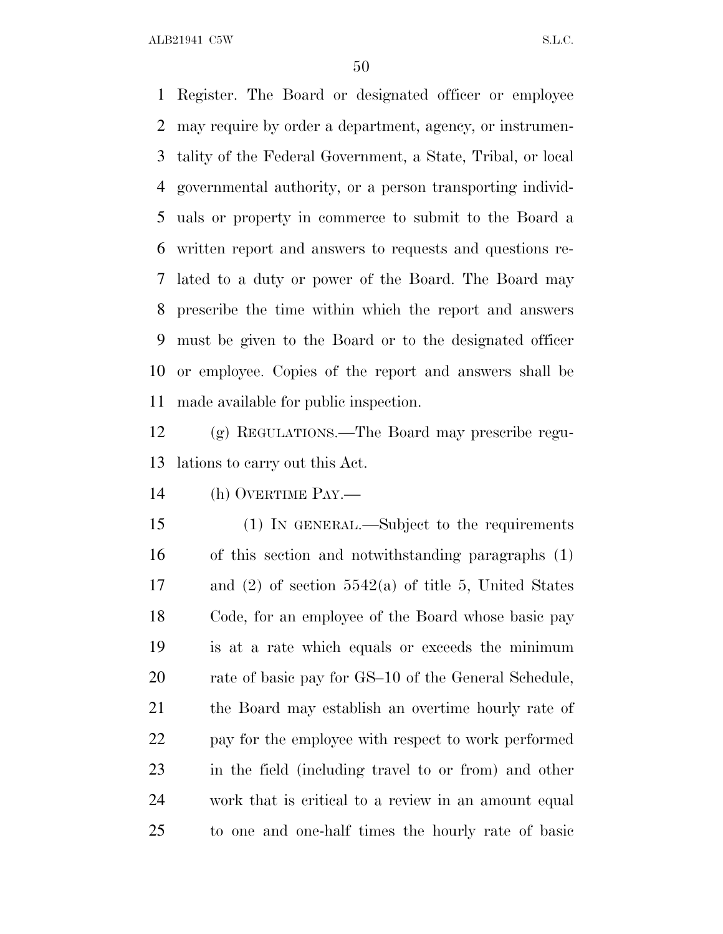Register. The Board or designated officer or employee may require by order a department, agency, or instrumen- tality of the Federal Government, a State, Tribal, or local governmental authority, or a person transporting individ- uals or property in commerce to submit to the Board a written report and answers to requests and questions re- lated to a duty or power of the Board. The Board may prescribe the time within which the report and answers must be given to the Board or to the designated officer or employee. Copies of the report and answers shall be made available for public inspection.

 (g) REGULATIONS.—The Board may prescribe regu-lations to carry out this Act.

(h) OVERTIME PAY.—

 (1) IN GENERAL.—Subject to the requirements of this section and notwithstanding paragraphs (1) and (2) of section 5542(a) of title 5, United States Code, for an employee of the Board whose basic pay is at a rate which equals or exceeds the minimum 20 rate of basic pay for GS–10 of the General Schedule, the Board may establish an overtime hourly rate of pay for the employee with respect to work performed in the field (including travel to or from) and other work that is critical to a review in an amount equal to one and one-half times the hourly rate of basic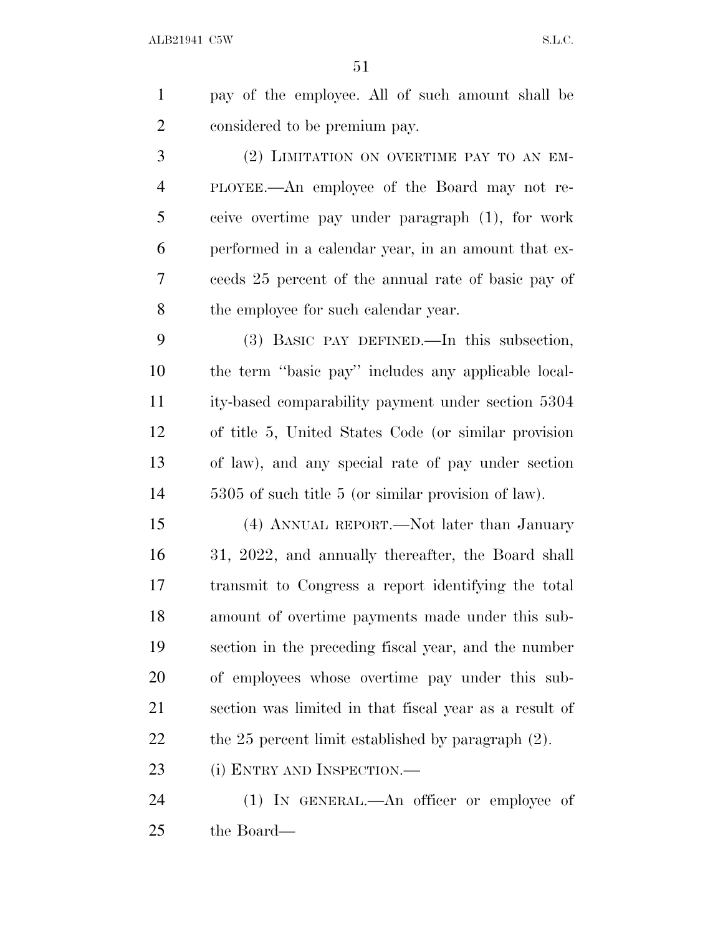pay of the employee. All of such amount shall be considered to be premium pay.

 (2) LIMITATION ON OVERTIME PAY TO AN EM- PLOYEE.—An employee of the Board may not re- ceive overtime pay under paragraph (1), for work performed in a calendar year, in an amount that ex- ceeds 25 percent of the annual rate of basic pay of the employee for such calendar year.

 (3) BASIC PAY DEFINED.—In this subsection, the term ''basic pay'' includes any applicable local- ity-based comparability payment under section 5304 of title 5, United States Code (or similar provision of law), and any special rate of pay under section 5305 of such title 5 (or similar provision of law).

 (4) ANNUAL REPORT.—Not later than January 31, 2022, and annually thereafter, the Board shall transmit to Congress a report identifying the total amount of overtime payments made under this sub- section in the preceding fiscal year, and the number of employees whose overtime pay under this sub- section was limited in that fiscal year as a result of the 25 percent limit established by paragraph (2).

23 (i) ENTRY AND INSPECTION.—

24 (1) IN GENERAL.—An officer or employee of the Board—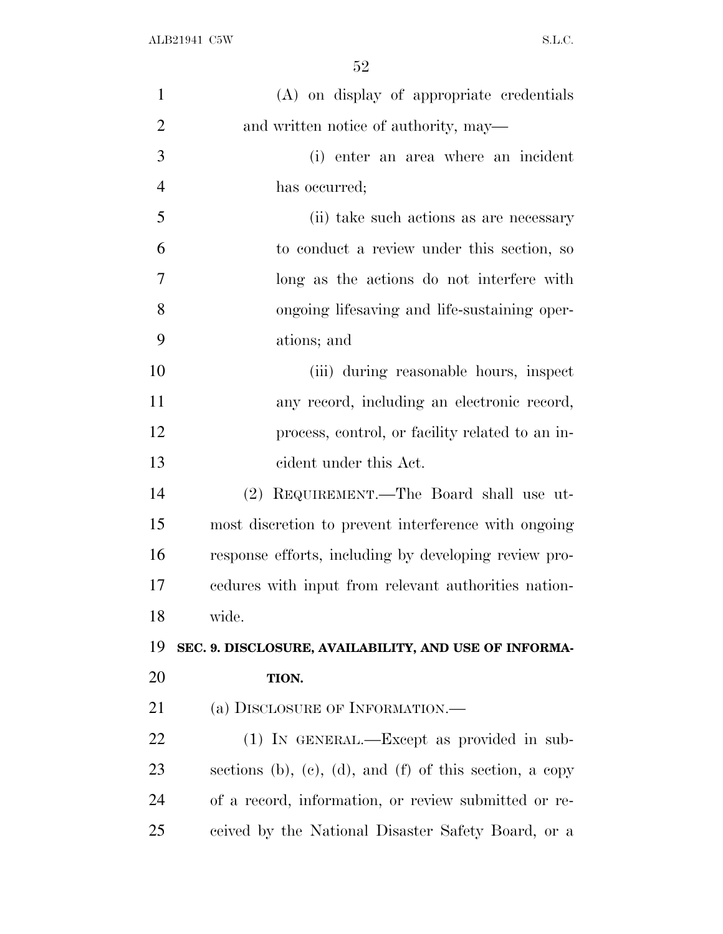| $\mathbf{1}$             | (A) on display of appropriate credentials               |
|--------------------------|---------------------------------------------------------|
| $\mathbf{2}$             | and written notice of authority, may—                   |
| $\mathfrak{Z}$           | (i) enter an area where an incident                     |
| $\overline{\mathcal{A}}$ | has occurred;                                           |
| 5                        | (ii) take such actions as are necessary                 |
| 6                        | to conduct a review under this section, so              |
| 7                        | long as the actions do not interfere with               |
| 8                        | ongoing lifesaving and life-sustaining oper-            |
| 9                        | ations; and                                             |
| 10                       | (iii) during reasonable hours, inspect                  |
| 11                       | any record, including an electronic record,             |
| 12                       | process, control, or facility related to an in-         |
| 13                       | eident under this Act.                                  |
| 14                       | (2) REQUIREMENT.—The Board shall use ut-                |
| 15                       | most discretion to prevent interference with ongoing    |
| 16                       | response efforts, including by developing review pro-   |
| 17                       | cedures with input from relevant authorities nation-    |
| 18                       | wide.                                                   |
| 19                       | SEC. 9. DISCLOSURE, AVAILABILITY, AND USE OF INFORMA-   |
| 20                       | TION.                                                   |
| 21                       | (a) DISCLOSURE OF INFORMATION.—                         |
| 22                       | (1) IN GENERAL.—Except as provided in sub-              |
| 23                       | sections (b), (c), (d), and (f) of this section, a copy |
| 24                       | of a record, information, or review submitted or re-    |
| 25                       | ceived by the National Disaster Safety Board, or a      |
|                          |                                                         |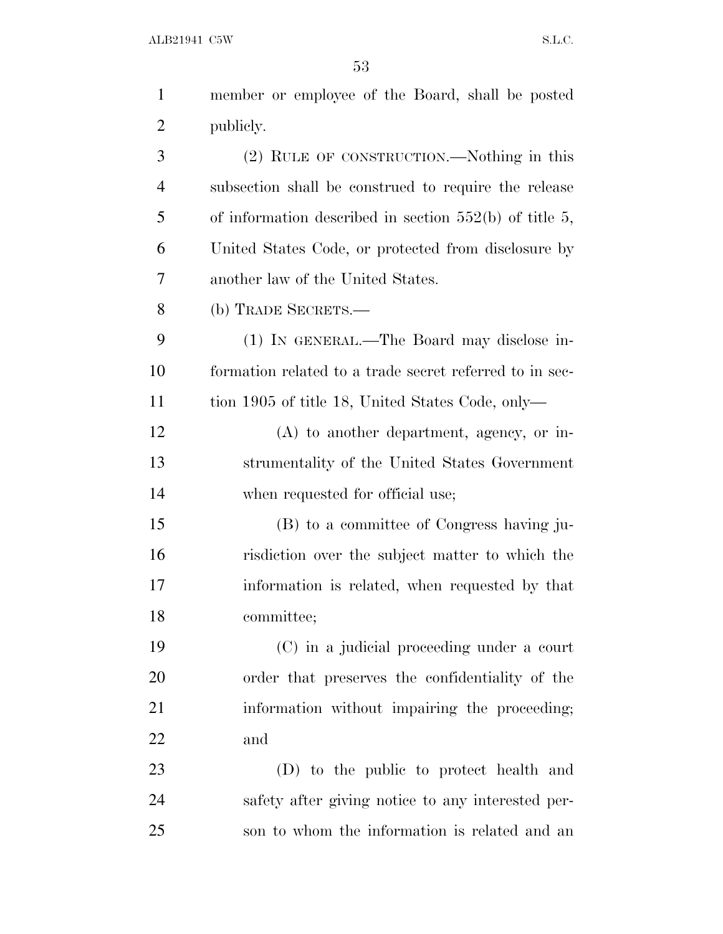| $\mathbf{1}$   | member or employee of the Board, shall be posted         |
|----------------|----------------------------------------------------------|
| $\overline{2}$ | publicly.                                                |
| 3              | (2) RULE OF CONSTRUCTION.—Nothing in this                |
| $\overline{4}$ | subsection shall be construed to require the release     |
| 5              | of information described in section $552(b)$ of title 5, |
| 6              | United States Code, or protected from disclosure by      |
| 7              | another law of the United States.                        |
| 8              | (b) TRADE SECRETS.—                                      |
| 9              | (1) IN GENERAL.—The Board may disclose in-               |
| 10             | formation related to a trade secret referred to in sec-  |
| 11             | tion 1905 of title 18, United States Code, only—         |
| 12             | $(A)$ to another department, agency, or in-              |
| 13             | strumentality of the United States Government            |
| 14             | when requested for official use;                         |
| 15             | (B) to a committee of Congress having ju-                |
| 16             | risdiction over the subject matter to which the          |
| 17             | information is related, when requested by that           |
| 18             | committee;                                               |
| 19             | (C) in a judicial proceeding under a court               |
| 20             | order that preserves the confidentiality of the          |
| 21             | information without impairing the proceeding;            |
| 22             | and                                                      |
| 23             | (D) to the public to protect health and                  |
| 24             | safety after giving notice to any interested per-        |
| 25             | son to whom the information is related and an            |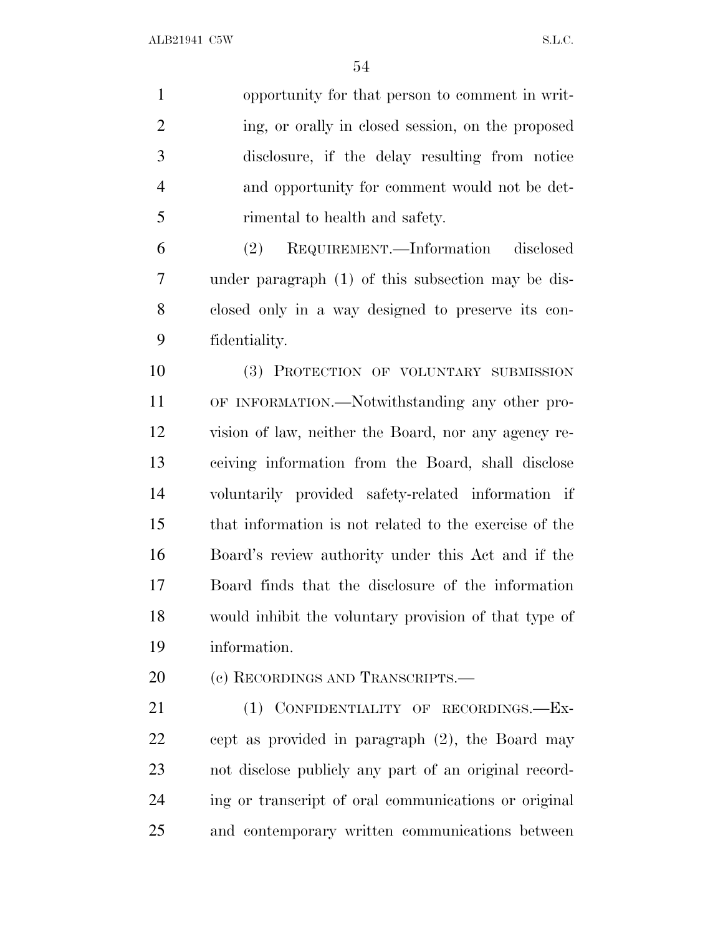opportunity for that person to comment in writ-2 ing, or orally in closed session, on the proposed disclosure, if the delay resulting from notice and opportunity for comment would not be det-rimental to health and safety.

 (2) REQUIREMENT.—Information disclosed under paragraph (1) of this subsection may be dis- closed only in a way designed to preserve its con-fidentiality.

 (3) PROTECTION OF VOLUNTARY SUBMISSION OF INFORMATION.—Notwithstanding any other pro- vision of law, neither the Board, nor any agency re- ceiving information from the Board, shall disclose voluntarily provided safety-related information if that information is not related to the exercise of the Board's review authority under this Act and if the Board finds that the disclosure of the information would inhibit the voluntary provision of that type of information.

20 (c) RECORDINGS AND TRANSCRIPTS.—

 (1) CONFIDENTIALITY OF RECORDINGS.—Ex- cept as provided in paragraph (2), the Board may not disclose publicly any part of an original record- ing or transcript of oral communications or original and contemporary written communications between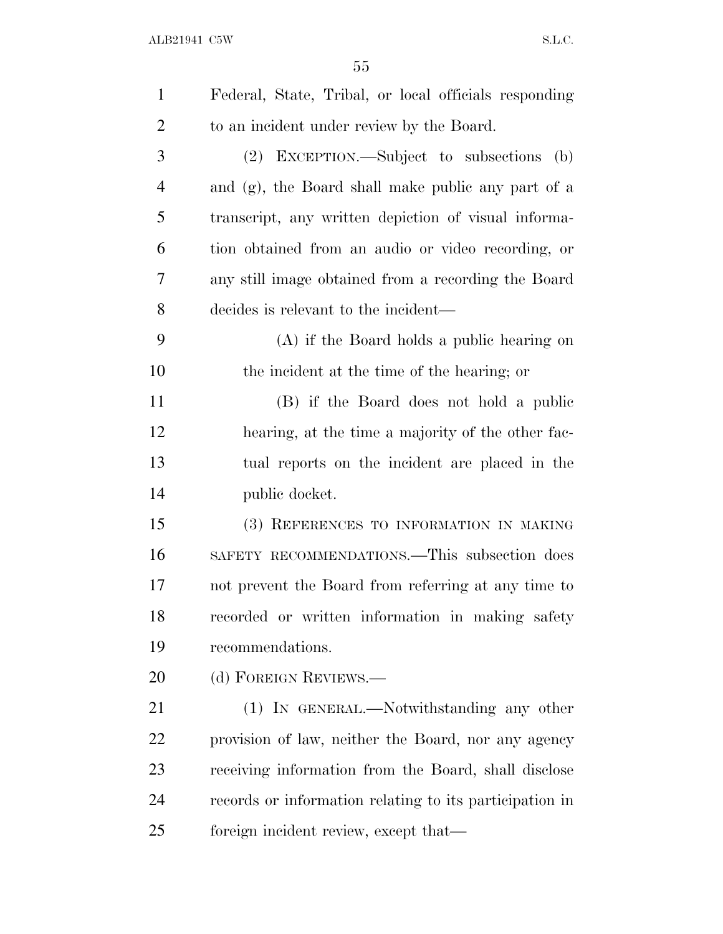| $\mathbf{1}$   | Federal, State, Tribal, or local officials responding   |
|----------------|---------------------------------------------------------|
| $\overline{2}$ | to an incident under review by the Board.               |
| 3              | (2) EXCEPTION.—Subject to subsections<br>(b)            |
| 4              | and (g), the Board shall make public any part of a      |
| 5              | transcript, any written depiction of visual informa-    |
| 6              | tion obtained from an audio or video recording, or      |
| 7              | any still image obtained from a recording the Board     |
| 8              | decides is relevant to the incident—                    |
| 9              | (A) if the Board holds a public hearing on              |
| 10             | the incident at the time of the hearing; or             |
| 11             | (B) if the Board does not hold a public                 |
| 12             | hearing, at the time a majority of the other fac-       |
| 13             | tual reports on the incident are placed in the          |
| 14             | public docket.                                          |
| 15             | (3) REFERENCES TO INFORMATION IN MAKING                 |
| 16             | SAFETY RECOMMENDATIONS.—This subsection does            |
| 17             | not prevent the Board from referring at any time to     |
| 18             | recorded or written information in making safety        |
| 19             | recommendations.                                        |
| 20             | (d) FOREIGN REVIEWS.—                                   |
| 21             | (1) IN GENERAL.—Notwithstanding any other               |
| 22             | provision of law, neither the Board, nor any agency     |
| 23             | receiving information from the Board, shall disclose    |
| 24             | records or information relating to its participation in |
| 25             | foreign incident review, except that—                   |
|                |                                                         |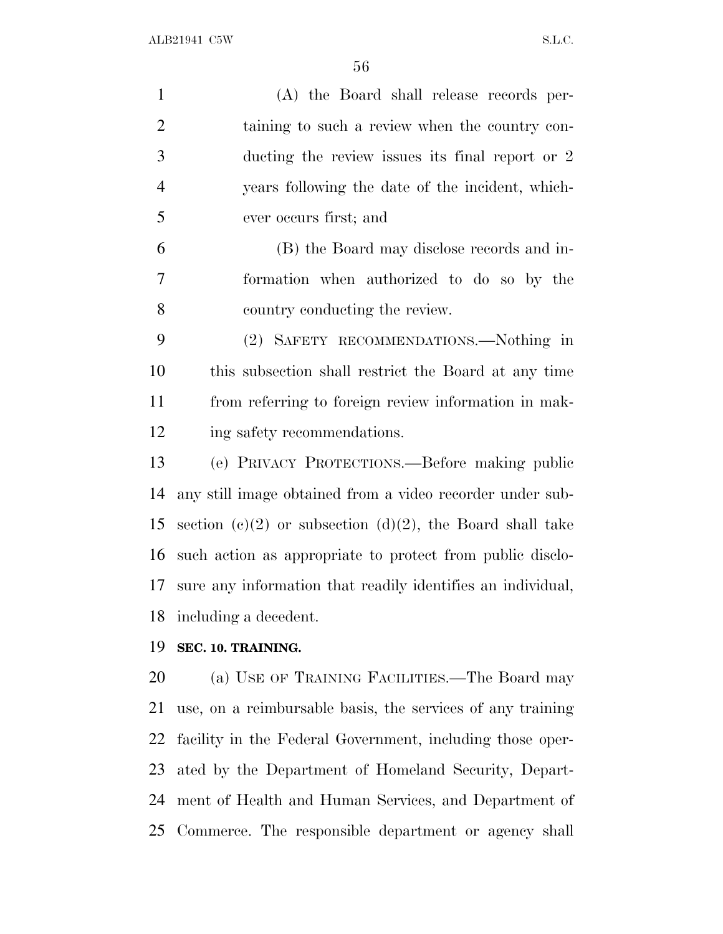| $\mathbf{1}$   | (A) the Board shall release records per-                    |
|----------------|-------------------------------------------------------------|
| $\overline{2}$ | taining to such a review when the country con-              |
| 3              | ducting the review issues its final report or 2             |
| $\overline{4}$ | years following the date of the incident, which-            |
| 5              | ever occurs first; and                                      |
| 6              | (B) the Board may disclose records and in-                  |
| 7              | formation when authorized to do so by the                   |
| 8              | country conducting the review.                              |
| 9              | (2) SAFETY RECOMMENDATIONS.—Nothing in                      |
| 10             | this subsection shall restrict the Board at any time        |
| 11             | from referring to foreign review information in mak-        |
| 12             | ing safety recommendations.                                 |
| 13             | (e) PRIVACY PROTECTIONS.—Before making public               |
| 14             | any still image obtained from a video recorder under sub-   |
| 15             | section (c)(2) or subsection (d)(2), the Board shall take   |
| 16             | such action as appropriate to protect from public disclo-   |
| 17             | sure any information that readily identifies an individual, |
| 18             | including a decedent.                                       |
| 19             | SEC. 10. TRAINING.                                          |
| 20             | (a) USE OF TRAINING FACILITIES.—The Board may               |
| 21             | use, on a reimbursable basis, the services of any training  |

 facility in the Federal Government, including those oper- ated by the Department of Homeland Security, Depart-ment of Health and Human Services, and Department of

Commerce. The responsible department or agency shall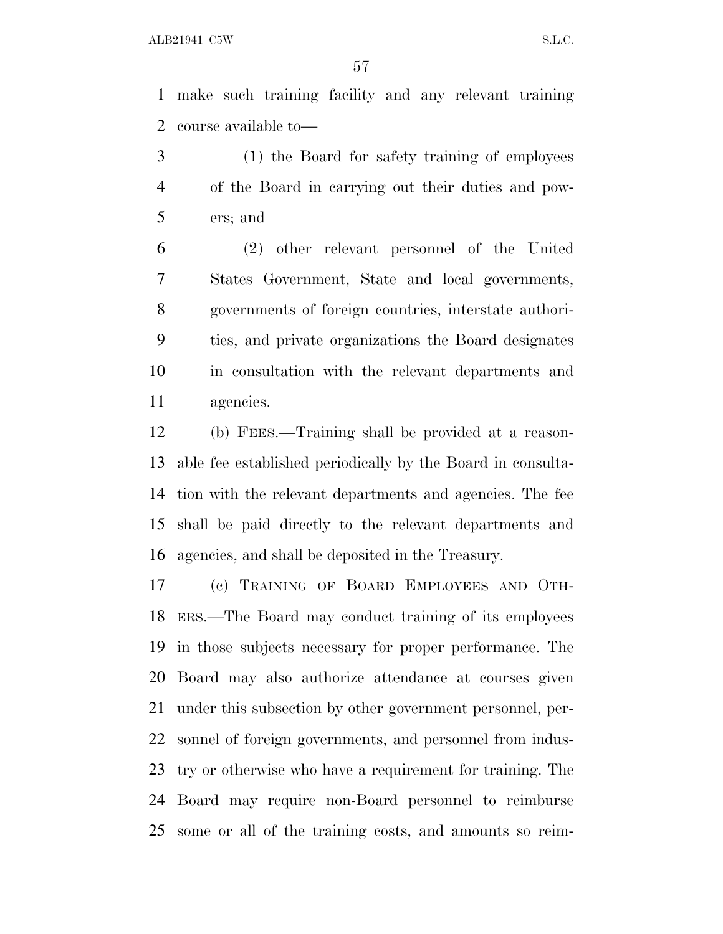make such training facility and any relevant training course available to—

 (1) the Board for safety training of employees of the Board in carrying out their duties and pow-ers; and

 (2) other relevant personnel of the United States Government, State and local governments, governments of foreign countries, interstate authori- ties, and private organizations the Board designates in consultation with the relevant departments and agencies.

 (b) FEES.—Training shall be provided at a reason- able fee established periodically by the Board in consulta- tion with the relevant departments and agencies. The fee shall be paid directly to the relevant departments and agencies, and shall be deposited in the Treasury.

 (c) TRAINING OF BOARD EMPLOYEES AND OTH- ERS.—The Board may conduct training of its employees in those subjects necessary for proper performance. The Board may also authorize attendance at courses given under this subsection by other government personnel, per- sonnel of foreign governments, and personnel from indus- try or otherwise who have a requirement for training. The Board may require non-Board personnel to reimburse some or all of the training costs, and amounts so reim-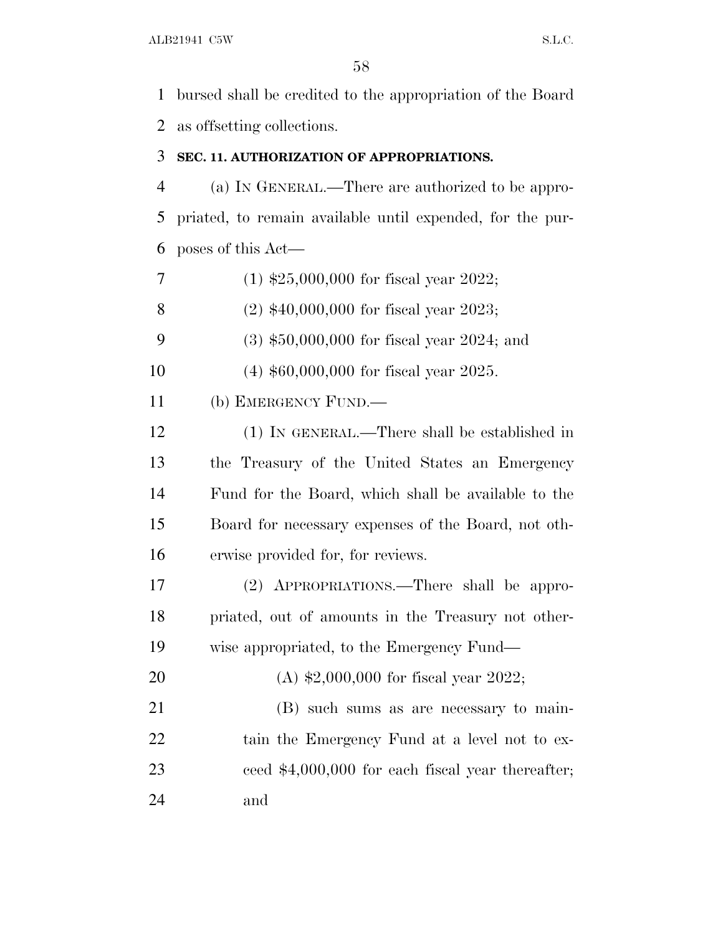bursed shall be credited to the appropriation of the Board as offsetting collections.

#### **SEC. 11. AUTHORIZATION OF APPROPRIATIONS.**

 (a) I<sup>N</sup> GENERAL.—There are authorized to be appro- priated, to remain available until expended, for the pur-poses of this Act—

- (1) \$25,000,000 for fiscal year 2022;
- (2) \$40,000,000 for fiscal year 2023;
- (3) \$50,000,000 for fiscal year 2024; and
- (4) \$60,000,000 for fiscal year 2025.
- (b) EMERGENCY FUND.—

 (1) IN GENERAL.—There shall be established in the Treasury of the United States an Emergency Fund for the Board, which shall be available to the Board for necessary expenses of the Board, not oth-erwise provided for, for reviews.

 (2) APPROPRIATIONS.—There shall be appro- priated, out of amounts in the Treasury not other-wise appropriated, to the Emergency Fund—

 (A) \$2,000,000 for fiscal year 2022; (B) such sums as are necessary to main-22 tain the Emergency Fund at a level not to ex- ceed \$4,000,000 for each fiscal year thereafter; and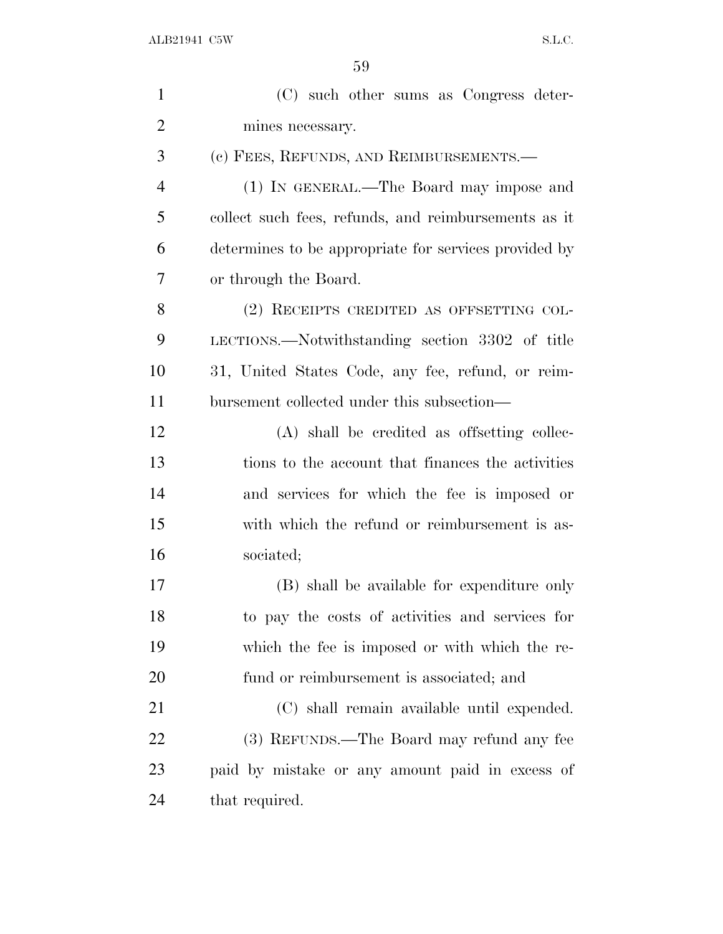| $\mathbf{1}$   | (C) such other sums as Congress deter-                |
|----------------|-------------------------------------------------------|
| $\overline{2}$ | mines necessary.                                      |
| 3              | (c) FEES, REFUNDS, AND REIMBURSEMENTS.—               |
| $\overline{4}$ | (1) IN GENERAL.—The Board may impose and              |
| 5              | collect such fees, refunds, and reimbursements as it  |
| 6              | determines to be appropriate for services provided by |
| 7              | or through the Board.                                 |
| 8              | (2) RECEIPTS CREDITED AS OFFSETTING COL-              |
| 9              | LECTIONS.—Notwithstanding section 3302 of title       |
| 10             | 31, United States Code, any fee, refund, or reim-     |
| 11             | bursement collected under this subsection—            |
| 12             | (A) shall be credited as offsetting collec-           |
| 13             | tions to the account that finances the activities     |
| 14             | and services for which the fee is imposed or          |
| 15             | with which the refund or reimbursement is as-         |
| 16             | sociated;                                             |
| 17             | (B) shall be available for expenditure only           |
| 18             | to pay the costs of activities and services for       |
| 19             | which the fee is imposed or with which the re-        |
| 20             | fund or reimbursement is associated; and              |
| 21             | (C) shall remain available until expended.            |
| 22             | (3) REFUNDS.—The Board may refund any fee             |
| 23             | paid by mistake or any amount paid in excess of       |
| 24             | that required.                                        |
|                |                                                       |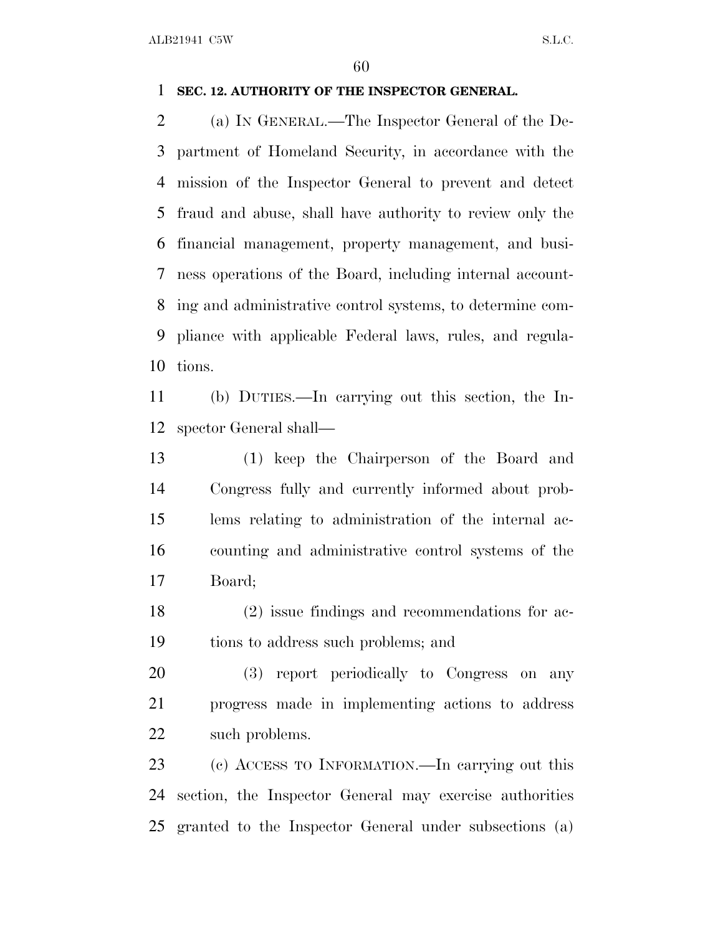#### **SEC. 12. AUTHORITY OF THE INSPECTOR GENERAL.**

 (a) I<sup>N</sup> GENERAL.—The Inspector General of the De- partment of Homeland Security, in accordance with the mission of the Inspector General to prevent and detect fraud and abuse, shall have authority to review only the financial management, property management, and busi- ness operations of the Board, including internal account- ing and administrative control systems, to determine com- pliance with applicable Federal laws, rules, and regula-tions.

 (b) DUTIES.—In carrying out this section, the In-spector General shall—

 (1) keep the Chairperson of the Board and Congress fully and currently informed about prob- lems relating to administration of the internal ac- counting and administrative control systems of the Board;

 (2) issue findings and recommendations for ac-tions to address such problems; and

 (3) report periodically to Congress on any progress made in implementing actions to address such problems.

 (c) ACCESS TO INFORMATION.—In carrying out this section, the Inspector General may exercise authorities granted to the Inspector General under subsections (a)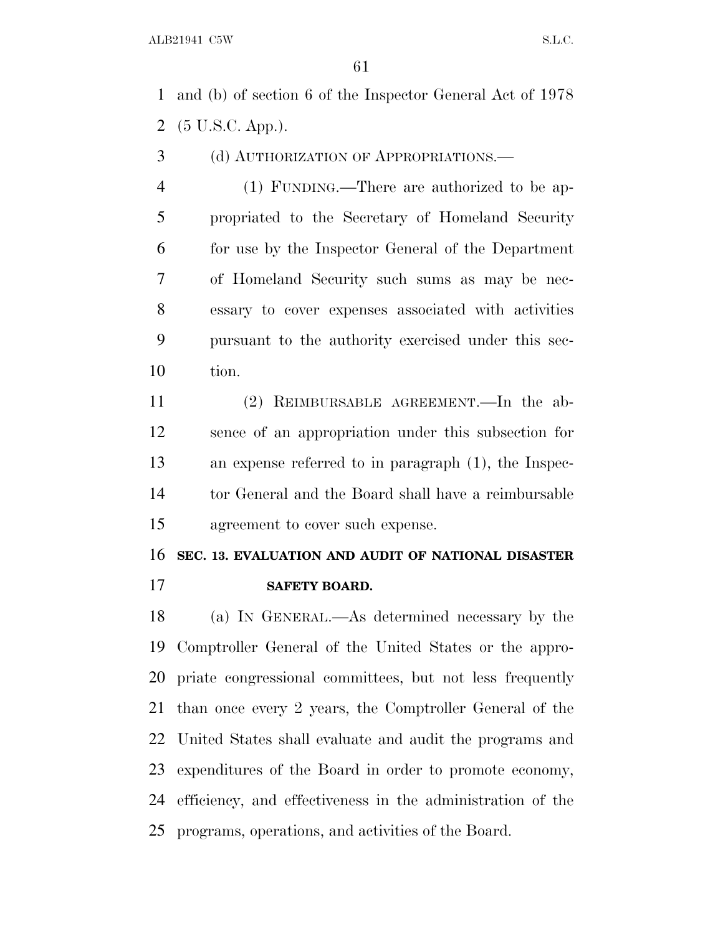and (b) of section 6 of the Inspector General Act of 1978 (5 U.S.C. App.).

(d) AUTHORIZATION OF APPROPRIATIONS.—

 (1) FUNDING.—There are authorized to be ap- propriated to the Secretary of Homeland Security for use by the Inspector General of the Department of Homeland Security such sums as may be nec- essary to cover expenses associated with activities pursuant to the authority exercised under this sec-tion.

 (2) REIMBURSABLE AGREEMENT.—In the ab- sence of an appropriation under this subsection for an expense referred to in paragraph (1), the Inspec- tor General and the Board shall have a reimbursable agreement to cover such expense.

## **SEC. 13. EVALUATION AND AUDIT OF NATIONAL DISASTER**

**SAFETY BOARD.**

 (a) I<sup>N</sup> GENERAL.—As determined necessary by the Comptroller General of the United States or the appro- priate congressional committees, but not less frequently than once every 2 years, the Comptroller General of the United States shall evaluate and audit the programs and expenditures of the Board in order to promote economy, efficiency, and effectiveness in the administration of the programs, operations, and activities of the Board.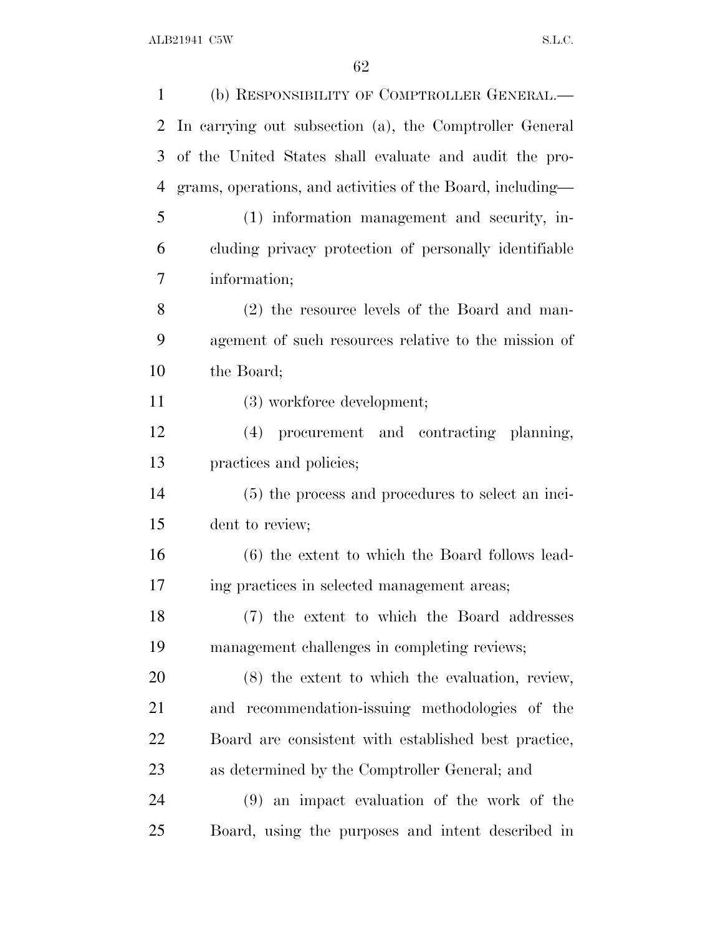| 1  | (b) RESPONSIBILITY OF COMPTROLLER GENERAL.-                |
|----|------------------------------------------------------------|
| 2  | In carrying out subsection (a), the Comptroller General    |
| 3  | of the United States shall evaluate and audit the pro-     |
| 4  | grams, operations, and activities of the Board, including— |
| 5  | (1) information management and security, in-               |
| 6  | cluding privacy protection of personally identifiable      |
| 7  | information;                                               |
| 8  | (2) the resource levels of the Board and man-              |
| 9  | agement of such resources relative to the mission of       |
| 10 | the Board;                                                 |
| 11 | (3) workforce development;                                 |
| 12 | (4) procurement and contracting planning,                  |
| 13 | practices and policies;                                    |
| 14 | (5) the process and procedures to select an inci-          |
| 15 | dent to review;                                            |
| 16 | (6) the extent to which the Board follows lead-            |
| 17 | ing practices in selected management areas;                |
| 18 | (7) the extent to which the Board addresses                |
| 19 | management challenges in completing reviews;               |
| 20 | $(8)$ the extent to which the evaluation, review,          |
| 21 | and recommendation-issuing methodologies of the            |
| 22 | Board are consistent with established best practice,       |
| 23 | as determined by the Comptroller General; and              |
| 24 | (9) an impact evaluation of the work of the                |
| 25 | Board, using the purposes and intent described in          |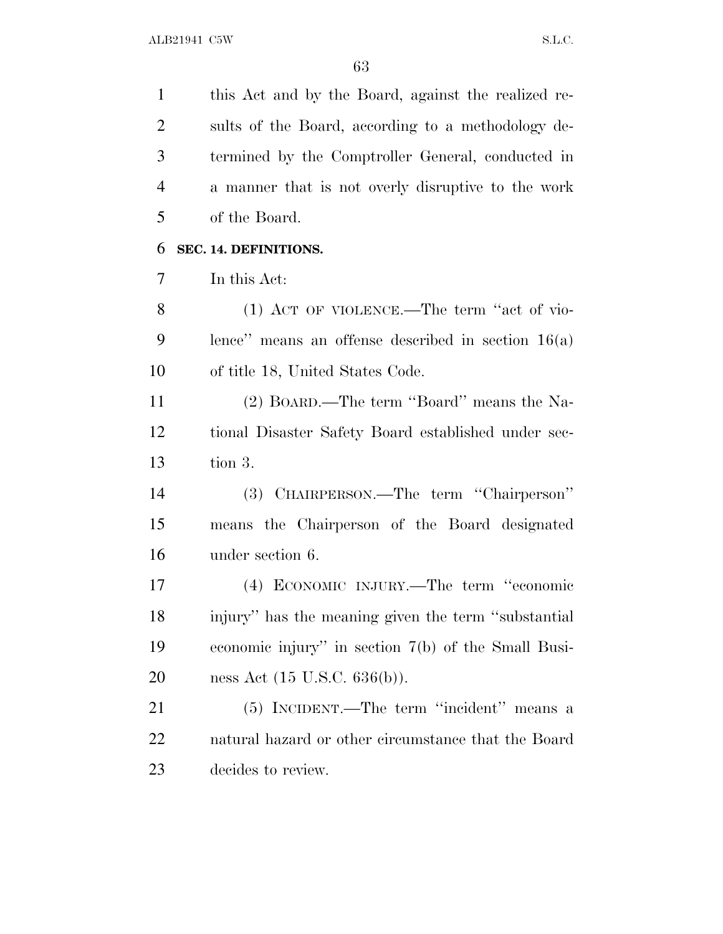this Act and by the Board, against the realized re- sults of the Board, according to a methodology de- termined by the Comptroller General, conducted in a manner that is not overly disruptive to the work of the Board.

### **SEC. 14. DEFINITIONS.**

In this Act:

 (1) ACT OF VIOLENCE.—The term ''act of vio- lence'' means an offense described in section 16(a) of title 18, United States Code.

 (2) BOARD.—The term ''Board'' means the Na- tional Disaster Safety Board established under sec-tion 3.

 (3) CHAIRPERSON.—The term ''Chairperson'' means the Chairperson of the Board designated under section 6.

 (4) ECONOMIC INJURY.—The term ''economic injury'' has the meaning given the term ''substantial economic injury'' in section 7(b) of the Small Busi-ness Act (15 U.S.C. 636(b)).

 (5) INCIDENT.—The term ''incident'' means a natural hazard or other circumstance that the Board decides to review.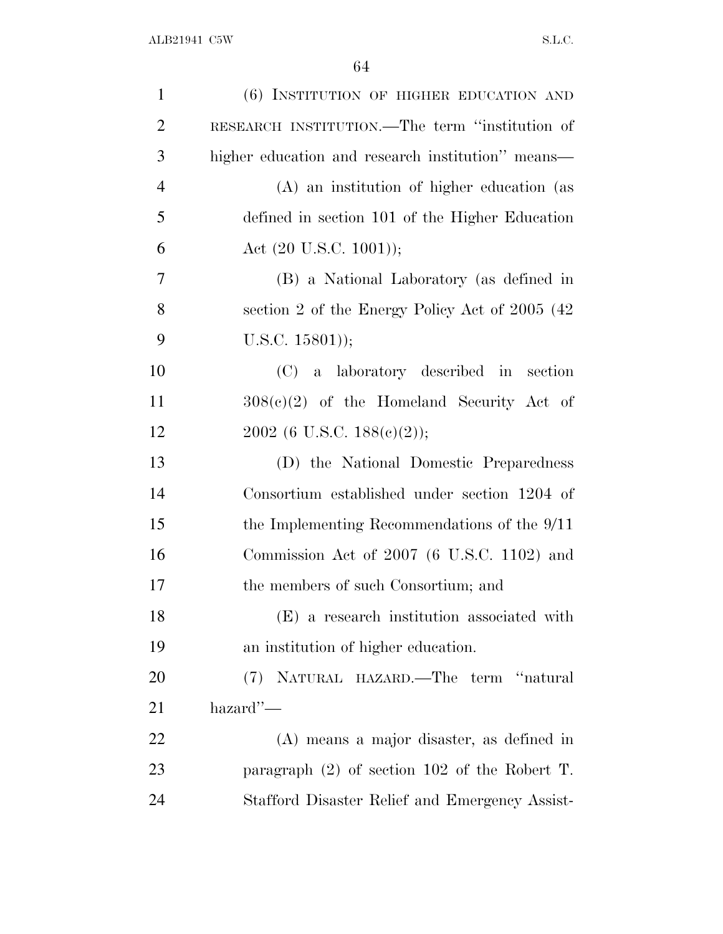| $\mathbf{1}$   | (6) INSTITUTION OF HIGHER EDUCATION AND           |
|----------------|---------------------------------------------------|
| $\overline{2}$ | RESEARCH INSTITUTION.—The term "institution of    |
| 3              | higher education and research institution" means— |
| $\overline{4}$ | (A) an institution of higher education (as        |
| 5              | defined in section 101 of the Higher Education    |
| 6              | Act $(20 \text{ U.S.C. } 1001));$                 |
| 7              | (B) a National Laboratory (as defined in          |
| 8              | section 2 of the Energy Policy Act of 2005 (42)   |
| 9              | $U.S.C. 15801$ );                                 |
| 10             | (C) a laboratory described in<br>section          |
| 11             | $308(c)(2)$ of the Homeland Security Act of       |
| 12             | 2002 (6 U.S.C. 188(e)(2));                        |
| 13             | (D) the National Domestic Preparedness            |
| 14             | Consortium established under section 1204 of      |
| 15             | the Implementing Recommendations of the $9/11$    |
| 16             | Commission Act of $2007$ (6 U.S.C. 1102) and      |
| 17             | the members of such Consortium; and               |
| 18             | (E) a research institution associated with        |
| 19             | an institution of higher education.               |
| 20             | (7) NATURAL HAZARD.—The term "natural             |
| 21             | $\mu$ azard''—                                    |
| 22             | (A) means a major disaster, as defined in         |
| 23             | paragraph $(2)$ of section 102 of the Robert T.   |
| 24             | Stafford Disaster Relief and Emergency Assist-    |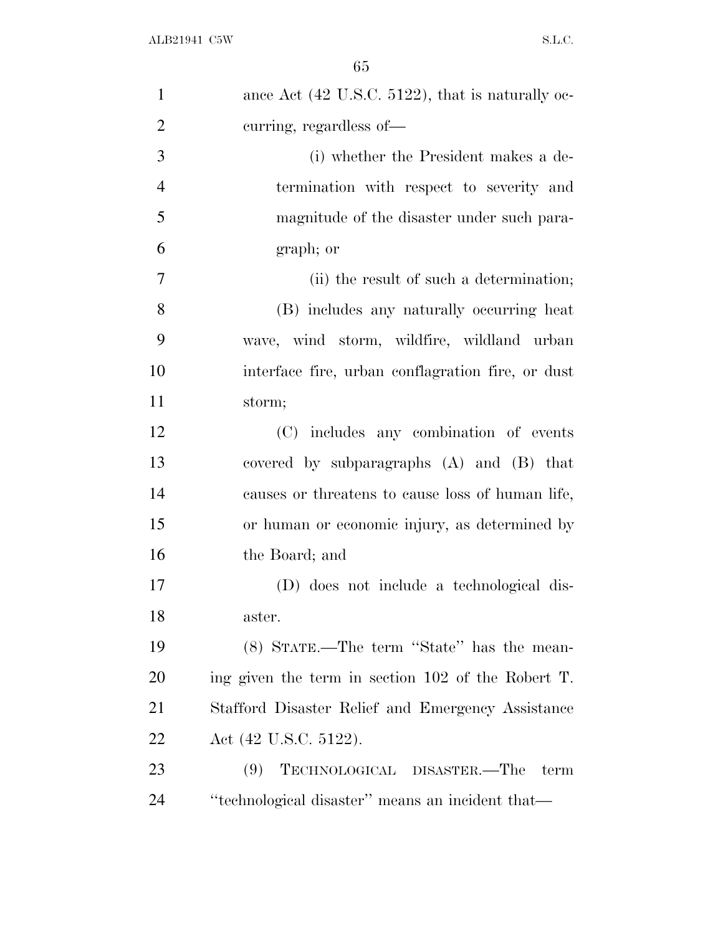| $\mathbf{1}$   | ance Act (42 U.S.C. 5122), that is naturally oc-   |
|----------------|----------------------------------------------------|
| $\overline{2}$ | curring, regardless of-                            |
| 3              | (i) whether the President makes a de-              |
| $\overline{4}$ | termination with respect to severity and           |
| 5              | magnitude of the disaster under such para-         |
| 6              | graph; or                                          |
| 7              | (ii) the result of such a determination;           |
| 8              | (B) includes any naturally occurring heat          |
| 9              | wave, wind storm, wildfire, wildland urban         |
| 10             | interface fire, urban conflagration fire, or dust  |
| 11             | storm;                                             |
| 12             | (C) includes any combination of events             |
| 13             | covered by subparagraphs (A) and (B) that          |
| 14             | causes or threatens to cause loss of human life,   |
| 15             | or human or economic injury, as determined by      |
| 16             | the Board; and                                     |
| 17             | (D) does not include a technological dis-          |
| 18             | aster.                                             |
| 19             | (8) STATE.—The term "State" has the mean-          |
| 20             | ing given the term in section 102 of the Robert T. |
| 21             | Stafford Disaster Relief and Emergency Assistance  |
| 22             | Act (42 U.S.C. 5122).                              |
| 23             | TECHNOLOGICAL DISASTER.—The<br>(9)<br>term         |
| 24             | "technological disaster" means an incident that-   |